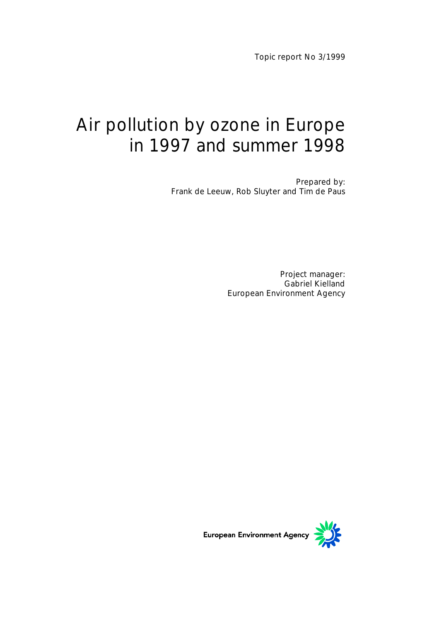Topic report No 3/1999

# Air pollution by ozone in Europe in 1997 and summer 1998

Prepared by: Frank de Leeuw, Rob Sluyter and Tim de Paus

> Project manager: Gabriel Kielland European Environment Agency

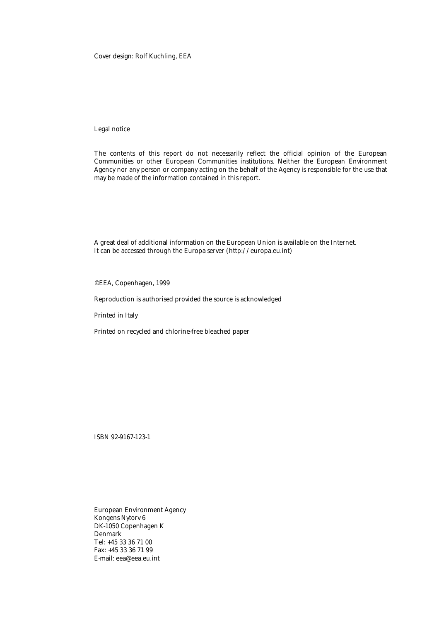#### Cover design: Rolf Kuchling, EEA

#### Legal notice

The contents of this report do not necessarily reflect the official opinion of the European Communities or other European Communities institutions. Neither the European Environment Agency nor any person or company acting on the behalf of the Agency is responsible for the use that may be made of the information contained in this report.

A great deal of additional information on the European Union is available on the Internet. It can be accessed through the Europa server (http://europa.eu.int)

©EEA, Copenhagen, 1999

Reproduction is authorised provided the source is acknowledged

Printed in Italy

Printed on recycled and chlorine-free bleached paper

ISBN 92-9167-123-1

European Environment Agency Kongens Nytorv 6 DK-1050 Copenhagen K Denmark Tel: +45 33 36 71 00 Fax: +45 33 36 71 99 E-mail: eea@eea.eu.int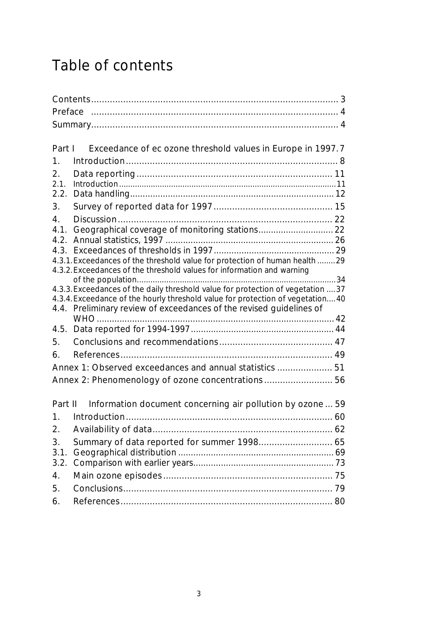# Table of contents

| Part I         | Exceedance of ec ozone threshold values in Europe in 1997.7                      |  |
|----------------|----------------------------------------------------------------------------------|--|
| 1.             |                                                                                  |  |
| 2.             |                                                                                  |  |
| 2.1.           |                                                                                  |  |
| 2.2.           |                                                                                  |  |
| 3.             |                                                                                  |  |
| $\mathbf{4}$ . |                                                                                  |  |
| 4.1.           | Geographical coverage of monitoring stations 22                                  |  |
| 4.2.           |                                                                                  |  |
|                |                                                                                  |  |
|                | 4.3.1. Exceedances of the threshold value for protection of human health  29     |  |
|                | 4.3.2. Exceedances of the threshold values for information and warning           |  |
|                | 4.3.3. Exceedances of the daily threshold value for protection of vegetation  37 |  |
|                | 4.3.4. Exceedance of the hourly threshold value for protection of vegetation 40  |  |
|                | 4.4. Preliminary review of exceedances of the revised guidelines of              |  |
|                |                                                                                  |  |
|                |                                                                                  |  |
| 5.             |                                                                                  |  |
| 6.             |                                                                                  |  |
|                | Annex 1: Observed exceedances and annual statistics  51                          |  |
|                | Annex 2: Phenomenology of ozone concentrations 56                                |  |
|                |                                                                                  |  |
| Part II        | Information document concerning air pollution by ozone  59                       |  |
| 1.             |                                                                                  |  |
| 2.             |                                                                                  |  |
| 3.             | Summary of data reported for summer 1998 65                                      |  |
| 3.1.           |                                                                                  |  |
| 3.2.           |                                                                                  |  |
| 4.             |                                                                                  |  |
| 5.             |                                                                                  |  |
|                |                                                                                  |  |
| 6.             |                                                                                  |  |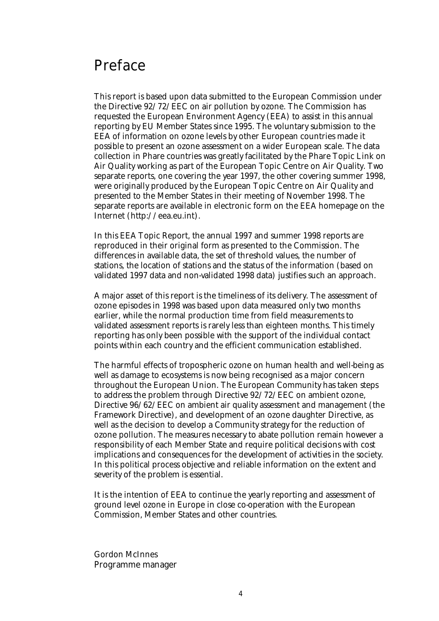## Preface

This report is based upon data submitted to the European Commission under the Directive 92/72/EEC on air pollution by ozone. The Commission has requested the European Environment Agency (EEA) to assist in this annual reporting by EU Member States since 1995. The voluntary submission to the EEA of information on ozone levels by other European countries made it possible to present an ozone assessment on a wider European scale. The data collection in Phare countries was greatly facilitated by the Phare Topic Link on Air Quality working as part of the European Topic Centre on Air Quality. Two separate reports, one covering the year 1997, the other covering summer 1998, were originally produced by the European Topic Centre on Air Quality and presented to the Member States in their meeting of November 1998. The separate reports are available in electronic form on the EEA homepage on the Internet (http://eea.eu.int).

In this EEA Topic Report, the annual 1997 and summer 1998 reports are reproduced in their original form as presented to the Commission. The differences in available data, the set of threshold values, the number of stations, the location of stations and the status of the information (based on validated 1997 data and non-validated 1998 data) justifies such an approach.

A major asset of this report is the timeliness of its delivery. The assessment of ozone episodes in 1998 was based upon data measured only two months earlier, while the normal production time from field measurements to validated assessment reports is rarely less than eighteen months. This timely reporting has only been possible with the support of the individual contact points within each country and the efficient communication established.

The harmful effects of tropospheric ozone on human health and well-being as well as damage to ecosystems is now being recognised as a major concern throughout the European Union. The European Community has taken steps to address the problem through Directive 92/72/EEC on ambient ozone, Directive 96/62/EEC on ambient air quality assessment and management (the Framework Directive), and development of an ozone daughter Directive, as well as the decision to develop a Community strategy for the reduction of ozone pollution. The measures necessary to abate pollution remain however a responsibility of each Member State and require political decisions with cost implications and consequences for the development of activities in the society. In this political process objective and reliable information on the extent and severity of the problem is essential.

It is the intention of EEA to continue the yearly reporting and assessment of ground level ozone in Europe in close co-operation with the European Commission, Member States and other countries.

Gordon McInnes Programme manager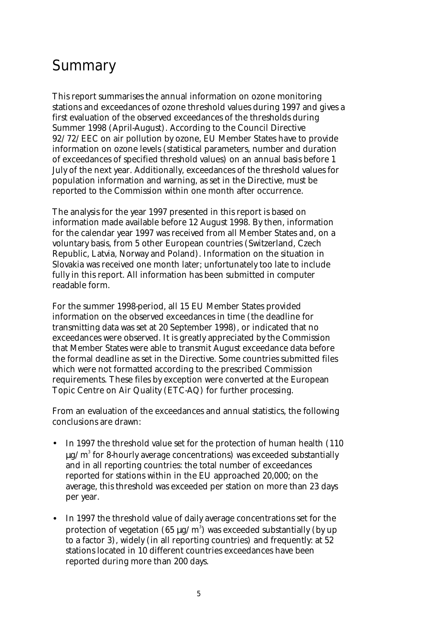# Summary

This report summarises the annual information on ozone monitoring stations and exceedances of ozone threshold values during 1997 and gives a first evaluation of the observed exceedances of the thresholds during Summer 1998 (April-August). According to the Council Directive 92/72/EEC on air pollution by ozone, EU Member States have to provide information on ozone levels (statistical parameters, number and duration of exceedances of specified threshold values) on an annual basis before 1 July of the next year. Additionally, exceedances of the threshold values for population information and warning, as set in the Directive, must be reported to the Commission within one month after occurrence.

The analysis for the year 1997 presented in this report is based on information made available before 12 August 1998. By then, information for the calendar year 1997 was received from all Member States and, on a voluntary basis, from 5 other European countries (Switzerland, Czech Republic, Latvia, Norway and Poland). Information on the situation in Slovakia was received one month later; unfortunately too late to include fully in this report. All information has been submitted in computer readable form.

For the summer 1998-period, all 15 EU Member States provided information on the observed exceedances in time (the deadline for transmitting data was set at 20 September 1998), or indicated that no exceedances were observed. It is greatly appreciated by the Commission that Member States were able to transmit August exceedance data before the formal deadline as set in the Directive. Some countries submitted files which were not formatted according to the prescribed Commission requirements. These files by exception were converted at the European Topic Centre on Air Quality (ETC-AQ) for further processing.

From an evaluation of the exceedances and annual statistics, the following conclusions are drawn:

- In 1997 the threshold value set for the protection of human health (110  $\mu$ g/m $^3$  for 8-hourly average concentrations) was exceeded substantially and in all reporting countries: the total number of exceedances reported for stations within in the EU approached 20,000; on the average, this threshold was exceeded per station on more than 23 days per year.
- In 1997 the threshold value of daily average concentrations set for the protection of vegetation (65  $\mu\text{g/m}^3$ ) was exceeded substantially (by up to a factor 3), widely (in all reporting countries) and frequently: at 52 stations located in 10 different countries exceedances have been reported during more than 200 days.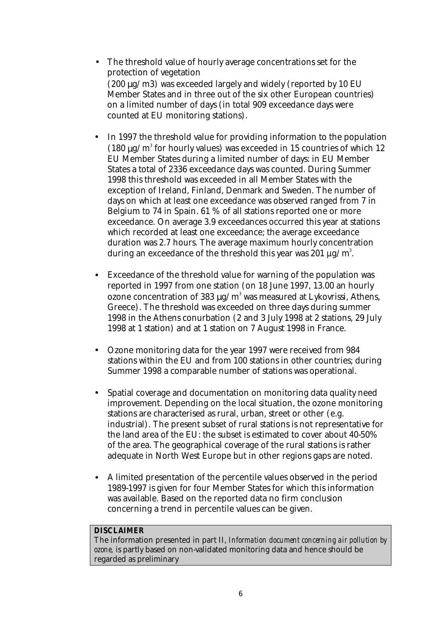- The threshold value of hourly average concentrations set for the protection of vegetation (200 µg/m3) was exceeded largely and widely (reported by 10 EU Member States and in three out of the six other European countries) on a limited number of days (in total 909 exceedance days were counted at EU monitoring stations).
- In 1997 the threshold value for providing information to the population (180  $\mu$ g/m<sup>3</sup> for hourly values) was exceeded in 15 countries of which 12 EU Member States during a limited number of days: in EU Member States a total of 2336 exceedance days was counted. During Summer 1998 this threshold was exceeded in all Member States with the exception of Ireland, Finland, Denmark and Sweden. The number of days on which at least one exceedance was observed ranged from 7 in Belgium to 74 in Spain. 61 % of all stations reported one or more exceedance. On average 3.9 exceedances occurred this year at stations which recorded at least one exceedance; the average exceedance duration was 2.7 hours. The average maximum hourly concentration during an exceedance of the threshold this year was 201  $\mu$ g/m $^3$ .
- Exceedance of the threshold value for warning of the population was reported in 1997 from one station (on 18 June 1997, 13.00 an hourly ozone concentration of 383  $\mu$ g/m $^3$  was measured at Lykovrissi, Athens, Greece). The threshold was exceeded on three days during summer 1998 in the Athens conurbation (2 and 3 July 1998 at 2 stations, 29 July 1998 at 1 station) and at 1 station on 7 August 1998 in France.
- Ozone monitoring data for the year 1997 were received from 984 stations within the EU and from 100 stations in other countries; during Summer 1998 a comparable number of stations was operational.
- Spatial coverage and documentation on monitoring data quality need improvement. Depending on the local situation, the ozone monitoring stations are characterised as rural, urban, street or other (e.g. industrial). The present subset of rural stations is not representative for the land area of the EU: the subset is estimated to cover about 40-50% of the area. The geographical coverage of the rural stations is rather adequate in North West Europe but in other regions gaps are noted.
- A limited presentation of the percentile values observed in the period 1989-1997 is given for four Member States for which this information was available. Based on the reported data no firm conclusion concerning a trend in percentile values can be given.

#### **DISCLAIMER**

The information presented in part II, *Information document concerning air pollution by ozone,* is partly based on non-validated monitoring data and hence should be regarded as preliminary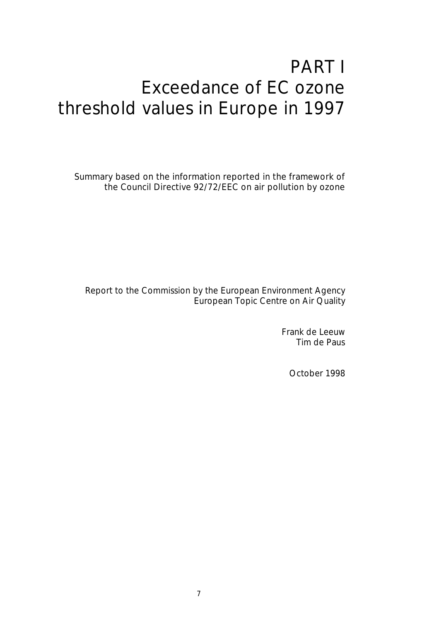# PART I Exceedance of EC ozone threshold values in Europe in 1997

Summary based on the information reported in the framework of the Council Directive 92/72/EEC on air pollution by ozone

Report to the Commission by the European Environment Agency European Topic Centre on Air Quality

> Frank de Leeuw Tim de Paus

> > October 1998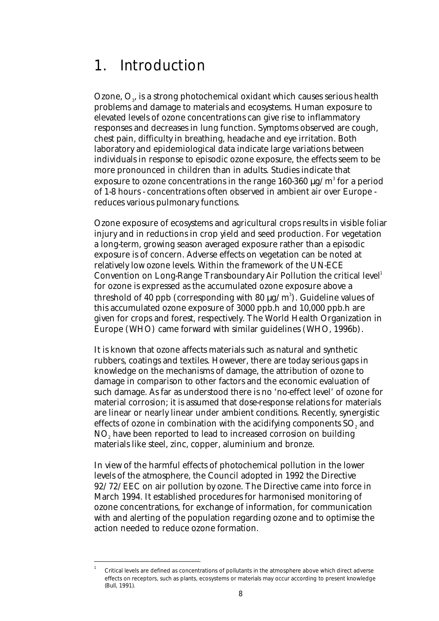# 1. Introduction

Ozone,  $\mathrm{O}_3$ , is a strong photochemical oxidant which causes serious health problems and damage to materials and ecosystems. Human exposure to elevated levels of ozone concentrations can give rise to inflammatory responses and decreases in lung function. Symptoms observed are cough, chest pain, difficulty in breathing, headache and eye irritation. Both laboratory and epidemiological data indicate large variations between individuals in response to episodic ozone exposure, the effects seem to be more pronounced in children than in adults. Studies indicate that exposure to ozone concentrations in the range 160-360  $\mu$ g/m $^3$  for a period of 1-8 hours - concentrations often observed in ambient air over Europe reduces various pulmonary functions.

Ozone exposure of ecosystems and agricultural crops results in visible foliar injury and in reductions in crop yield and seed production. For vegetation a long-term, growing season averaged exposure rather than a episodic exposure is of concern. Adverse effects on vegetation can be noted at relatively low ozone levels. Within the framework of the UN-ECE Convention on Long-Range Transboundary Air Pollution the critical level<sup>1</sup> for ozone is expressed as the accumulated ozone exposure above a threshold of 40 ppb (corresponding with 80  $\mu$ g/m $^3$ ). Guideline values of this accumulated ozone exposure of 3000 ppb.h and 10,000 ppb.h are given for crops and forest, respectively. The World Health Organization in Europe (WHO) came forward with similar guidelines (WHO, 1996b).

It is known that ozone affects materials such as natural and synthetic rubbers, coatings and textiles. However, there are today serious gaps in knowledge on the mechanisms of damage, the attribution of ozone to damage in comparison to other factors and the economic evaluation of such damage. As far as understood there is no 'no-effect level' of ozone for material corrosion; it is assumed that dose-response relations for materials are linear or nearly linear under ambient conditions. Recently, synergistic effects of ozone in combination with the acidifying components  $\mathrm{SO}_\mathrm{z}$  and  $\mathrm{NO}_\mathrm{z}$  have been reported to lead to increased corrosion on building materials like steel, zinc, copper, aluminium and bronze.

In view of the harmful effects of photochemical pollution in the lower levels of the atmosphere, the Council adopted in 1992 the Directive 92/72/EEC on air pollution by ozone. The Directive came into force in March 1994. It established procedures for harmonised monitoring of ozone concentrations, for exchange of information, for communication with and alerting of the population regarding ozone and to optimise the action needed to reduce ozone formation.

 $\overline{a}$ 1

Critical levels are defined as concentrations of pollutants in the atmosphere above which direct adverse effects on receptors, such as plants, ecosystems or materials may occur according to present knowledge (Bull, 1991).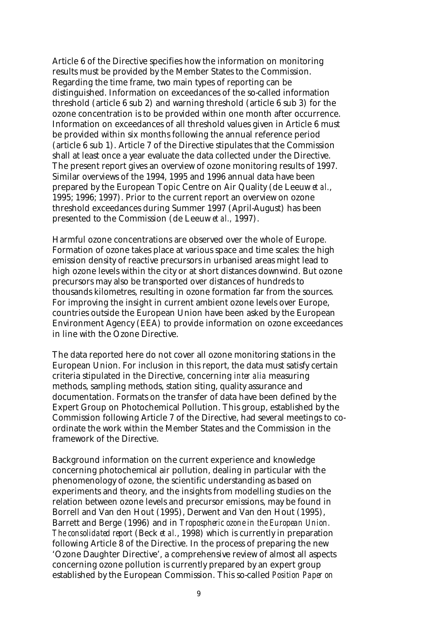Article 6 of the Directive specifies how the information on monitoring results must be provided by the Member States to the Commission. Regarding the time frame, two main types of reporting can be distinguished. Information on exceedances of the so-called information threshold (article 6 sub 2) and warning threshold (article 6 sub 3) for the ozone concentration is to be provided within one month after occurrence. Information on exceedances of all threshold values given in Article 6 must be provided within six months following the annual reference period (article 6 sub 1). Article 7 of the Directive stipulates that the Commission shall at least once a year evaluate the data collected under the Directive. The present report gives an overview of ozone monitoring results of 1997. Similar overviews of the 1994, 1995 and 1996 annual data have been prepared by the European Topic Centre on Air Quality (de Leeuw *et al.*, 1995; 1996; 1997). Prior to the current report an overview on ozone threshold exceedances during Summer 1997 (April-August) has been presented to the Commission (de Leeuw *et al.,* 1997).

Harmful ozone concentrations are observed over the whole of Europe. Formation of ozone takes place at various space and time scales: the high emission density of reactive precursors in urbanised areas might lead to high ozone levels within the city or at short distances downwind. But ozone precursors may also be transported over distances of hundreds to thousands kilometres, resulting in ozone formation far from the sources. For improving the insight in current ambient ozone levels over Europe, countries outside the European Union have been asked by the European Environment Agency (EEA) to provide information on ozone exceedances in line with the Ozone Directive.

The data reported here do not cover all ozone monitoring stations in the European Union. For inclusion in this report, the data must satisfy certain criteria stipulated in the Directive, concerning *inter alia* measuring methods, sampling methods, station siting, quality assurance and documentation. Formats on the transfer of data have been defined by the Expert Group on Photochemical Pollution. This group, established by the Commission following Article 7 of the Directive, had several meetings to coordinate the work within the Member States and the Commission in the framework of the Directive.

Background information on the current experience and knowledge concerning photochemical air pollution, dealing in particular with the phenomenology of ozone, the scientific understanding as based on experiments and theory, and the insights from modelling studies on the relation between ozone levels and precursor emissions, may be found in Borrell and Van den Hout (1995), Derwent and Van den Hout (1995), Barrett and Berge (1996) and in *Tropospheric ozone in the European Union. The consolidated report* (Beck *et al.*, 1998) which is currently in preparation following Article 8 of the Directive. In the process of preparing the new 'Ozone Daughter Directive', a comprehensive review of almost all aspects concerning ozone pollution is currently prepared by an expert group established by the European Commission. This so-called *Position Paper on*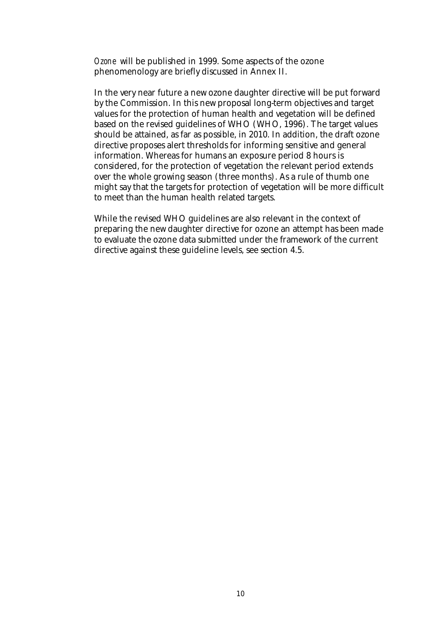*Ozone* will be published in 1999. Some aspects of the ozone phenomenology are briefly discussed in Annex II.

In the very near future a new ozone daughter directive will be put forward by the Commission. In this new proposal long-term objectives and target values for the protection of human health and vegetation will be defined based on the revised guidelines of WHO (WHO, 1996). The target values should be attained, as far as possible, in 2010. In addition, the draft ozone directive proposes alert thresholds for informing sensitive and general information. Whereas for humans an exposure period 8 hours is considered, for the protection of vegetation the relevant period extends over the whole growing season (three months). As a rule of thumb one might say that the targets for protection of vegetation will be more difficult to meet than the human health related targets.

While the revised WHO guidelines are also relevant in the context of preparing the new daughter directive for ozone an attempt has been made to evaluate the ozone data submitted under the framework of the current directive against these guideline levels, see section 4.5.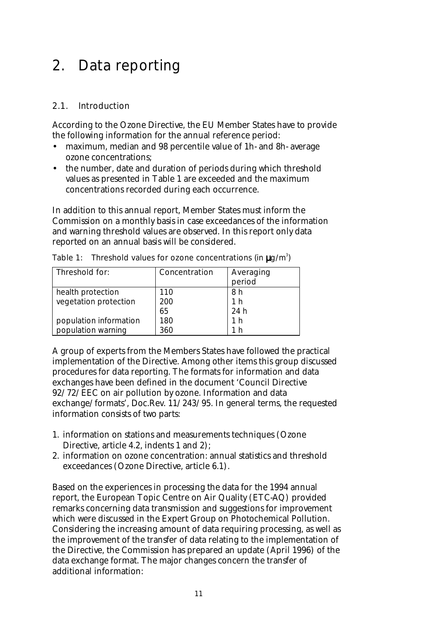# 2. Data reporting

### 2.1. Introduction

According to the Ozone Directive, the EU Member States have to provide the following information for the annual reference period:

- maximum, median and 98 percentile value of 1h- and 8h- average ozone concentrations;
- the number, date and duration of periods during which threshold values as presented in Table 1 are exceeded and the maximum concentrations recorded during each occurrence.

In addition to this annual report, Member States must inform the Commission on a monthly basis in case exceedances of the information and warning threshold values are observed. In this report only data reported on an annual basis will be considered.

| Threshold for:         | Concentration | Averaging<br>period |
|------------------------|---------------|---------------------|
| health protection      | 110           | 8 h                 |
| vegetation protection  | 200           | 1 h                 |
|                        | 65            | 24 h                |
| population information | 180           | 1 h                 |
| population warning     | 360           | 'h ∣                |

Table 1: Threshold values for ozone concentrations (in  $\mu$ g/m<sup>3</sup>)

A group of experts from the Members States have followed the practical implementation of the Directive. Among other items this group discussed procedures for data reporting. The formats for information and data exchanges have been defined in the document 'Council Directive 92/72/EEC on air pollution by ozone. Information and data exchange/formats', Doc.Rev. 11/243/95. In general terms, the requested information consists of two parts:

- 1. information on stations and measurements techniques (Ozone Directive, article 4.2, indents 1 and 2);
- 2. information on ozone concentration: annual statistics and threshold exceedances (Ozone Directive, article 6.1).

Based on the experiences in processing the data for the 1994 annual report, the European Topic Centre on Air Quality (ETC-AQ) provided remarks concerning data transmission and suggestions for improvement which were discussed in the Expert Group on Photochemical Pollution. Considering the increasing amount of data requiring processing, as well as the improvement of the transfer of data relating to the implementation of the Directive, the Commission has prepared an update (April 1996) of the data exchange format. The major changes concern the transfer of additional information: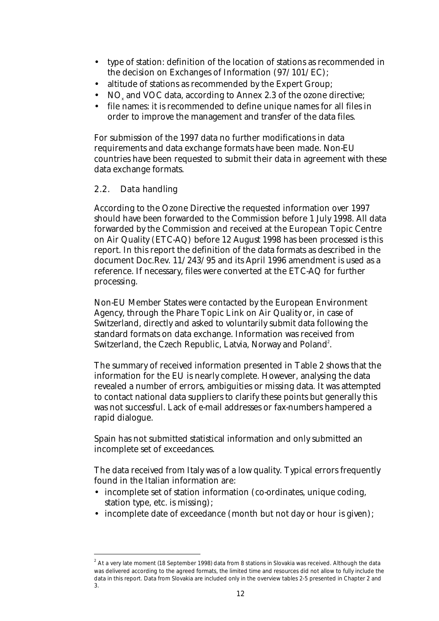- type of station: definition of the location of stations as recommended in the decision on Exchanges of Information (97/101/EC);
- altitude of stations as recommended by the Expert Group;
- $\rm NO_x$  and VOC data, according to Annex 2.3 of the ozone directive;
- file names: it is recommended to define unique names for all files in order to improve the management and transfer of the data files.

For submission of the 1997 data no further modifications in data requirements and data exchange formats have been made. Non-EU countries have been requested to submit their data in agreement with these data exchange formats.

### 2.2. Data handling

 $\overline{a}$ 

According to the Ozone Directive the requested information over 1997 should have been forwarded to the Commission before 1 July 1998. All data forwarded by the Commission and received at the European Topic Centre on Air Quality (ETC-AQ) before 12 August 1998 has been processed is this report. In this report the definition of the data formats as described in the document Doc.Rev. 11/243/95 and its April 1996 amendment is used as a reference. If necessary, files were converted at the ETC-AQ for further processing.

Non-EU Member States were contacted by the European Environment Agency, through the Phare Topic Link on Air Quality or, in case of Switzerland, directly and asked to voluntarily submit data following the standard formats on data exchange. Information was received from Switzerland, the Czech Republic, Latvia, Norway and Poland $^{\rm 2}.$ 

The summary of received information presented in Table 2 shows that the information for the EU is nearly complete. However, analysing the data revealed a number of errors, ambiguities or missing data. It was attempted to contact national data suppliers to clarify these points but generally this was not successful. Lack of e-mail addresses or fax-numbers hampered a rapid dialogue.

Spain has not submitted statistical information and only submitted an incomplete set of exceedances.

The data received from Italy was of a low quality. Typical errors frequently found in the Italian information are:

- incomplete set of station information (co-ordinates, unique coding, station type, etc. is missing);
- incomplete date of exceedance (month but not day or hour is given);

 $^{2}$  At a very late moment (18 September 1998) data from 8 stations in Slovakia was received. Although the data was delivered according to the agreed formats, the limited time and resources did not allow to fully include the data in this report. Data from Slovakia are included only in the overview tables 2-5 presented in Chapter 2 and 3.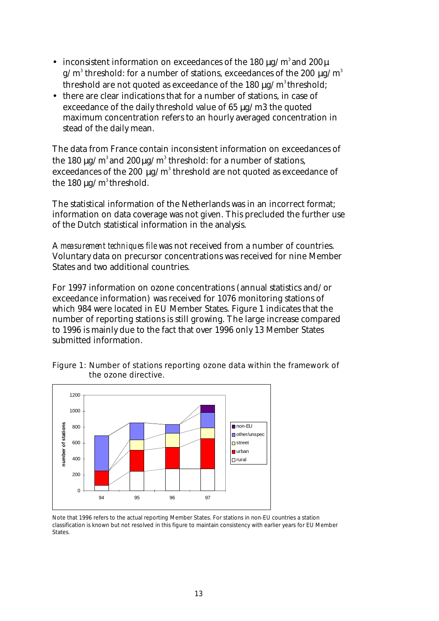- inconsistent information on exceedances of the 180  $\mu$ g/m<sup>3</sup> and 200  $\mu$ g/m $^3$  threshold: for a number of stations, exceedances of the 200  $\mu$ g/m $^3$ threshold are not quoted as exceedance of the  $180 \mu g/m^3$  threshold;
- there are clear indications that for a number of stations, in case of exceedance of the daily threshold value of 65  $\mu$ g/m3 the quoted maximum concentration refers to an hourly averaged concentration in stead of the daily mean.

The data from France contain inconsistent information on exceedances of the 180  $\mu$ g/m $^3$  and 200  $\mu$ g/m $^3$  threshold: for a number of stations, exceedances of the 200  $\mu$ g/m $^3$  threshold are not quoted as exceedance of the 180  $\mu$ g/m<sup>3</sup> threshold.

The statistical information of the Netherlands was in an incorrect format; information on data coverage was not given. This precluded the further use of the Dutch statistical information in the analysis.

A *measurement techniques file* was not received from a number of countries. Voluntary data on precursor concentrations was received for nine Member States and two additional countries.

For 1997 information on ozone concentrations (annual statistics and/or exceedance information) was received for 1076 monitoring stations of which 984 were located in EU Member States. Figure 1 indicates that the number of reporting stations is still growing. The large increase compared to 1996 is mainly due to the fact that over 1996 only 13 Member States submitted information.





Note that 1996 refers to the actual reporting Member States. For stations in non-EU countries a station classification is known but not resolved in this figure to maintain consistency with earlier years for EU Member States.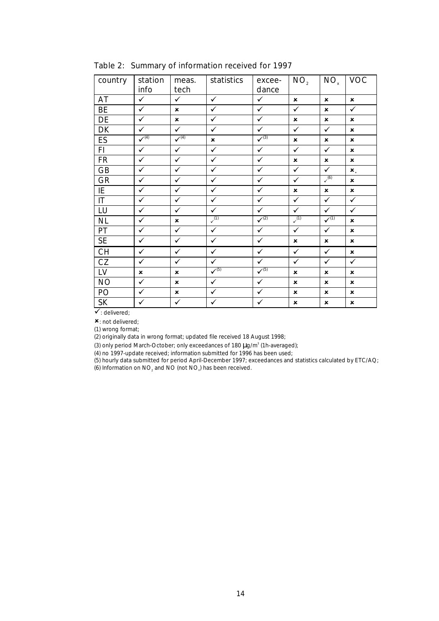| country                | station<br>info | meas.<br>tech             | statistics                | excee-<br>dance | NO <sub>2</sub>           | NO <sub>x</sub>           | <b>VOC</b>                |
|------------------------|-----------------|---------------------------|---------------------------|-----------------|---------------------------|---------------------------|---------------------------|
| AT                     | ✓               | $\checkmark$              | $\checkmark$              | $\checkmark$    | $\mathbf{x}$              | $\boldsymbol{\mathsf{x}}$ | $\boldsymbol{\mathsf{x}}$ |
| <b>BE</b>              | $\checkmark$    | $\boldsymbol{\mathsf{x}}$ | $\checkmark$              | $\checkmark$    | $\checkmark$              | $\boldsymbol{\mathsf{x}}$ | $\checkmark$              |
| DE                     | $\checkmark$    | $\boldsymbol{\mathsf{x}}$ | $\checkmark$              | $\checkmark$    | $\boldsymbol{\mathsf{x}}$ | $\boldsymbol{\mathsf{x}}$ | $\pmb{\times}$            |
| DK                     | ✓               | $\checkmark$              | $\checkmark$              | $\checkmark$    | ✓                         | $\checkmark$              | $\boldsymbol{\mathsf{x}}$ |
| ES                     | $\sqrt{4}$      | $\sqrt{4}$                | $\boldsymbol{\mathsf{x}}$ | $\sqrt{3}$      | ×                         | $\boldsymbol{\mathsf{x}}$ | ×                         |
| FI                     | ✓               | $\checkmark$              | $\checkmark$              | $\checkmark$    | ✓                         | $\checkmark$              | $\boldsymbol{\mathsf{x}}$ |
| <b>FR</b>              | $\checkmark$    | $\checkmark$              | $\checkmark$              | $\checkmark$    | $\boldsymbol{\mathsf{x}}$ | $\pmb{\times}$            | $\pmb{\times}$            |
| <b>GB</b>              | ✓               | $\checkmark$              | $\checkmark$              | $\checkmark$    | $\checkmark$              | $\checkmark$              | $x_{1}$                   |
| <b>GR</b>              | $\checkmark$    | $\checkmark$              | $\checkmark$              | $\checkmark$    | $\checkmark$              | $\sqrt{6}$                | $\pmb{\times}$            |
| IE                     | ✓               | $\checkmark$              | $\checkmark$              | $\checkmark$    | $\boldsymbol{\mathsf{x}}$ | $\boldsymbol{\mathsf{x}}$ | $\boldsymbol{\mathsf{x}}$ |
| $\mathsf{I}\mathsf{T}$ | ✓               | $\checkmark$              | $\checkmark$              | $\checkmark$    | ✓                         | $\checkmark$              | $\checkmark$              |
| LU                     | $\checkmark$    | $\checkmark$              | $\checkmark$              | $\checkmark$    | $\checkmark$              | $\checkmark$              | $\checkmark$              |
| <b>NL</b>              | $\checkmark$    | $\boldsymbol{\mathsf{x}}$ | $\sim$ <sup>(1)</sup>     | $\sqrt{2}$      | $\sim$ <sup>(1)</sup>     | $\sqrt{11}$               | $\mathbf x$               |
| PT                     | $\checkmark$    | $\checkmark$              | $\checkmark$              | $\checkmark$    | $\checkmark$              | $\checkmark$              | $\boldsymbol{\mathsf{x}}$ |
| <b>SE</b>              | ✓               | $\checkmark$              | $\checkmark$              | $\checkmark$    | ×                         | ×                         | $\pmb{\times}$            |
| <b>CH</b>              | $\checkmark$    | $\checkmark$              | $\checkmark$              | $\checkmark$    | $\checkmark$              | $\checkmark$              | $\boldsymbol{\mathsf{x}}$ |
| CZ                     | $\checkmark$    | $\checkmark$              | $\checkmark$              | $\checkmark$    | $\checkmark$              | $\checkmark$              | $\checkmark$              |
| LV                     | $\pmb{\times}$  | $\boldsymbol{\mathsf{x}}$ | $\sqrt{5}$                | $\sqrt{(5)}$    | ×                         | $\boldsymbol{\mathsf{x}}$ | ×                         |
| <b>NO</b>              | $\checkmark$    | $\mathbf x$               | $\checkmark$              | $\checkmark$    | $\mathbf x$               | $\boldsymbol{\mathsf{x}}$ | $\mathbf x$               |
| PO                     | ✓               | $\pmb{\times}$            | $\checkmark$              | $\checkmark$    | $\boldsymbol{\mathsf{x}}$ | $\boldsymbol{\mathsf{x}}$ | ×                         |
| <b>SK</b>              | ✓               | $\checkmark$              | $\checkmark$              | $\checkmark$    | ×                         | ×                         | ×                         |

Table 2: Summary of information received for 1997

 $\checkmark$ : delivered;

 $x$ : not delivered;

(1) wrong format;

(2) originally data in wrong format; updated file received 18 August 1998;

(3) only period March-October; only exceedances of 180  $\mu$ g/m<sup>3</sup> (1h-averaged);

(4) no 1997-update received; information submitted for 1996 has been used;

(5) hourly data submitted for period April-December 1997; exceedances and statistics calculated by ETC/AQ;

(6) Information on NO<sub>2</sub> and NO (not NO<sub>x</sub>) has been received.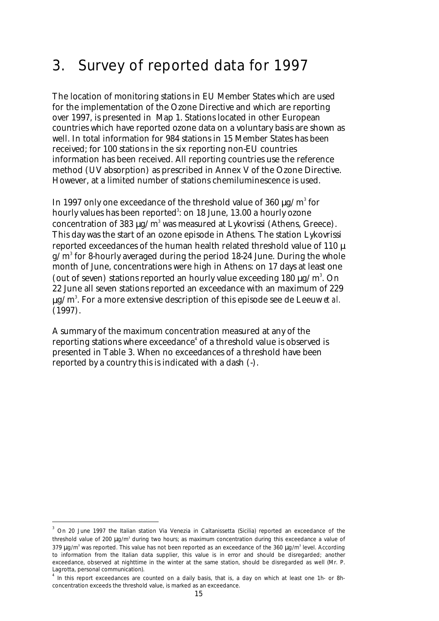# 3. Survey of reported data for 1997

The location of monitoring stations in EU Member States which are used for the implementation of the Ozone Directive and which are reporting over 1997, is presented in Map 1. Stations located in other European countries which have reported ozone data on a voluntary basis are shown as well. In total information for 984 stations in 15 Member States has been received; for 100 stations in the six reporting non-EU countries information has been received. All reporting countries use the reference method (UV absorption) as prescribed in Annex V of the Ozone Directive. However, at a limited number of stations chemiluminescence is used.

In 1997 only one exceedance of the threshold value of 360  $\mu$ g/m $^{\rm 3}$  for hourly values has been reported $^{\rm 3}$ : on 18 June, 13.00 a hourly ozone concentration of 383  $\mu$ g/m $^3$  was measured at Lykovrissi (Athens, Greece). This day was the start of an ozone episode in Athens. The station Lykovrissi reported exceedances of the human health related threshold value of 110 µ g/m $\rm{^3}$  for 8-hourly averaged during the period 18-24 June. During the whole month of June, concentrations were high in Athens: on 17 days at least one (out of seven) stations reported an hourly value exceeding  $180 \mu g/m^3$ . On 22 June all seven stations reported an exceedance with an maximum of 229 µg/m<sup>3</sup> . For a more extensive description of this episode see de Leeuw *et al.* (1997).

A summary of the maximum concentration measured at any of the reporting stations where exceedance $^{\rm 4}$  of a threshold value is observed is presented in Table 3. When no exceedances of a threshold have been reported by a country this is indicated with a dash (-).

 $\overline{a}$ 

<sup>3</sup> On 20 June 1997 the Italian station *Via Venezia* in Caltanissetta (Sicilia) reported an exceedance of the threshold value of 200 μg/m<sup>3</sup> during two hours; as maximum concentration during this exceedance a value of 379  $\mu$ g/m $^3$  was reported. This value has not been reported as an exceedance of the 360  $\mu$ g/m $^3$  level. According to information from the Italian data supplier, this value is in error and should be disregarded; another exceedance, observed at nighttime in the winter at the same station, should be disregarded as well (Mr. P. Lagrotta, personal communication).

<sup>&</sup>lt;sup>4</sup> In this report exceedances are counted on a daily basis, that is, a day on which at least one 1h- or 8hconcentration exceeds the threshold value, is marked as an exceedance.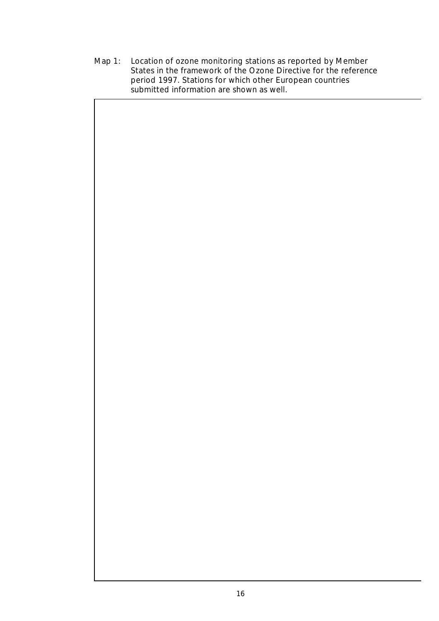Map 1: Location of ozone monitoring stations as reported by Member States in the framework of the Ozone Directive for the reference period 1997. Stations for which other European countries submitted information are shown as well.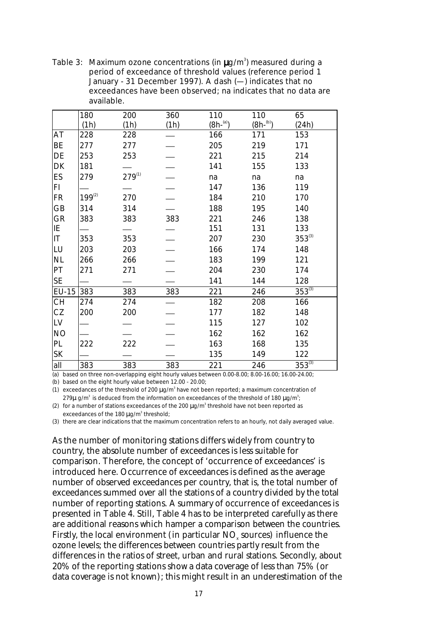Table 3: Maximum ozone concentrations (in  $\mu$ g/m<sup>3</sup>) measured during a period of exceedance of threshold values (reference period 1 January - 31 December 1997). A dash (—) indicates that no exceedances have been observed; na indicates that no data are available.

|                        | 180         | 200         | 360  | 110        | 110        | 65          |
|------------------------|-------------|-------------|------|------------|------------|-------------|
|                        | (1h)        | (1h)        | (1h) | $(8h-(a))$ | $(8h-(b))$ | (24h)       |
| AT                     | 228         | 228         |      | 166        | 171        | 153         |
| BE                     | 277         | 277         |      | 205        | 219        | 171         |
| DE                     | 253         | 253         |      | 221        | 215        | 214         |
| DK                     | 181         |             |      | 141        | 155        | 133         |
| ES                     | 279         | $279^{(1)}$ |      | na         | na         | na          |
| FI                     |             |             |      | 147        | 136        | 119         |
| <b>FR</b>              | $199^{(2)}$ | 270         |      | 184        | 210        | 170         |
| GB                     | 314         | 314         |      | 188        | 195        | 140         |
| GR                     | 383         | 383         | 383  | 221        | 246        | 138         |
| IE                     |             |             |      | 151        | 131        | 133         |
| $\mathsf{I}\mathsf{T}$ | 353         | 353         |      | 207        | 230        | $353^{(3)}$ |
| LU                     | 203         | 203         |      | 166        | 174        | 148         |
| <b>NL</b>              | 266         | 266         |      | 183        | 199        | 121         |
| PT                     | 271         | 271         |      | 204        | 230        | 174         |
| <b>SE</b>              |             |             |      | 141        | 144        | 128         |
| <b>EU-15</b>           | 383         | 383         | 383  | 221        | 246        | $353^{(3)}$ |
| <b>CH</b>              | 274         | 274         |      | 182        | 208        | 166         |
| CZ                     | 200         | 200         |      | 177        | 182        | 148         |
| LV                     |             |             |      | 115        | 127        | 102         |
| <b>NO</b>              |             |             |      | 162        | 162        | 162         |
| PL                     | 222         | 222         |      | 163        | 168        | 135         |
| SK                     |             |             |      | 135        | 149        | 122         |
| all                    | 383         | 383         | 383  | 221        | 246        | $353^{(3)}$ |

(a) based on three non-overlapping eight hourly values between 0.00-8.00; 8.00-16.00; 16.00-24.00;

(b) based on the eight hourly value between 12.00 - 20.00;

(1) exceedances of the threshold of 200  $\mu$ g/m<sup>3</sup> have not been reported; a maximum concentration of 279 $\mu$  g/m $^3$  is deduced from the information on exceedances of the threshold of 180  $\mu$ g/m $^3$ ;

(2) for a number of stations exceedances of the 200  $\mu$ g/m<sup>3</sup> threshold have not been reported as exceedances of the 180  $\mu$ g/m<sup>3</sup> threshold;

(3) there are clear indications that the maximum concentration refers to an hourly, not daily averaged value.

As the number of monitoring stations differs widely from country to country, the absolute number of exceedances is less suitable for comparison. Therefore, the concept of 'occurrence of exceedances' is introduced here. Occurrence of exceedances is defined as the average number of observed exceedances per country, that is, the total number of exceedances summed over all the stations of a country divided by the total number of reporting stations. A summary of occurrence of exceedances is presented in Table 4. Still, Table 4 has to be interpreted carefully as there are additional reasons which hamper a comparison between the countries. Firstly, the local environment (in particular  $\mathrm{NO}_{\mathrm{x}}$  sources) influence the ozone levels; the differences between countries partly result from the differences in the ratios of street, urban and rural stations. Secondly, about 20% of the reporting stations show a data coverage of less than 75% (or data coverage is not known); this might result in an underestimation of the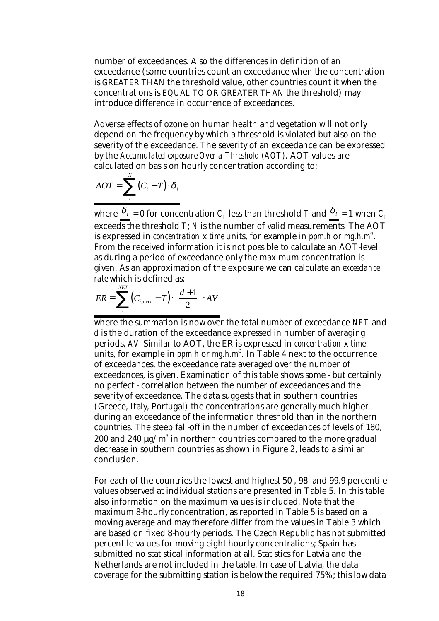number of exceedances. Also the differences in definition of an exceedance (some countries count an exceedance when the concentration is GREATER THAN the threshold value, other countries count it when the concentrations is EQUAL TO OR GREATER THAN the threshold) may introduce difference in occurrence of exceedances.

Adverse effects of ozone on human health and vegetation will not only depend on the frequency by which a threshold is violated but also on the severity of the exceedance. The severity of an exceedance can be expressed by the *Accumulated exposure Over a Threshold (AOT).* AOT-values are calculated on basis on hourly concentration according to:

$$
AOT = \sum_{i}^{N} (C_i - T) \cdot \delta_i
$$

where  $\delta_i = 0$  for concentration *C<sub>i</sub>* less than threshold *T* and  $\delta_i = 1$  when *C<sub>i</sub>* exceeds the threshold *T*; *N* is the number of valid measurements*.* The AOT is expressed in *concentration* x *time* units, for example in *ppm.h* or *mg.h.m-3 .* From the received information it is not possible to calculate an AOT-level as during a period of exceedance only the maximum concentration is given. As an approximation of the exposure we can calculate an *exceedance rate* which is defined as:

$$
ER = \sum_{i}^{NET} \left( C_{i, \max} - T \right) \cdot \left( \frac{d+1}{2} \right) \cdot AV
$$

where the summation is now over the total number of exceedance *NET* and d *d* is the duration of the exceedance expressed in number of averaging periods, *AV*. Similar to AOT, the ER is expressed in *concentration* x *time* units, for example in *ppm.h* or *mg.h.m-3 .* In Table 4 next to the occurrence of exceedances, the exceedance rate averaged over the number of exceedances, is given. Examination of this table shows some - but certainly no perfect - correlation between the number of exceedances and the severity of exceedance. The data suggests that in southern countries (Greece, Italy, Portugal) the concentrations are generally much higher during an exceedance of the information threshold than in the northern countries. The steep fall-off in the number of exceedances of levels of 180, 200 and 240  $\mu$ g/m $^3$  in northern countries compared to the more gradual decrease in southern countries as shown in Figure 2, leads to a similar conclusion.

For each of the countries the lowest and highest 50-, 98- and 99.9-percentile values observed at individual stations are presented in Table 5. In this table also information on the maximum values is included. Note that the maximum 8-hourly concentration, as reported in Table 5 is based on a moving average and may therefore differ from the values in Table 3 which are based on fixed 8-hourly periods. The Czech Republic has not submitted percentile values for moving eight-hourly concentrations; Spain has submitted no statistical information at all. Statistics for Latvia and the Netherlands are not included in the table. In case of Latvia, the data coverage for the submitting station is below the required 75%; this low data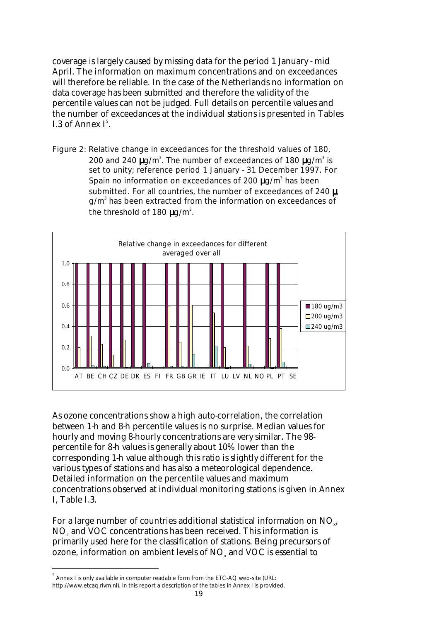coverage is largely caused by missing data for the period 1 January - mid April. The information on maximum concentrations and on exceedances will therefore be reliable. In the case of the Netherlands no information on data coverage has been submitted and therefore the validity of the percentile values can not be judged. Full details on percentile values and the number of exceedances at the individual stations is presented in Tables I.3 of Annex  $I^5$ .

Figure 2: Relative change in exceedances for the threshold values of 180, 200 and 240  $\mu$ g/m<sup>3</sup>. The number of exceedances of 180  $\mu$ g/m<sup>3</sup> is set to unity; reference period 1 January - 31 December 1997. For Spain no information on exceedances of 200  $\mu$ g/m<sup>3</sup> has been submitted. For all countries, the number of exceedances of 240  $\mu$ g/m<sup>3</sup> has been extracted from the information on exceedances of the threshold of 180  $\mu$ g/m<sup>3</sup>.



As ozone concentrations show a high auto-correlation, the correlation between 1-h and 8-h percentile values is no surprise. Median values for hourly and moving 8-hourly concentrations are very similar. The 98 percentile for 8-h values is generally about 10% lower than the corresponding 1-h value although this ratio is slightly different for the various types of stations and has also a meteorological dependence. Detailed information on the percentile values and maximum concentrations observed at individual monitoring stations is given in Annex I, Table I.3.

For a large number of countries additional statistical information on  $\mathrm{NO}_{_\mathrm{x}}$ ,  $\mathrm{NO}_\mathrm{z}$  and VOC concentrations has been received. This information is primarily used here for the classification of stations. Being precursors of ozone, information on ambient levels of  $\mathrm{NO}_\mathrm{x}$  and  $\mathrm{VOC}$  is essential to

 $\overline{a}$ 

 $^5$  Annex I is only available in computer readable form from the ETC-AQ web-site (URL: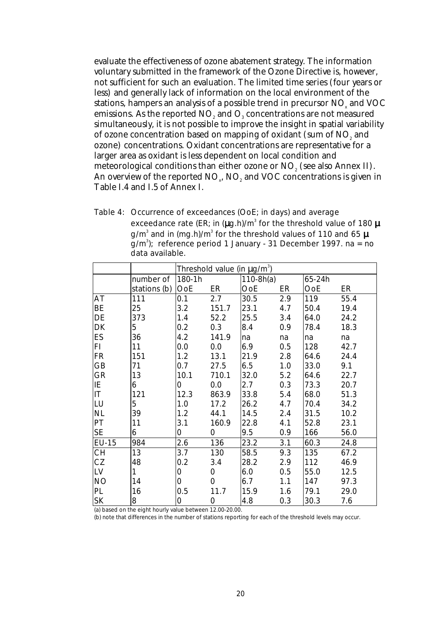evaluate the effectiveness of ozone abatement strategy. The information voluntary submitted in the framework of the Ozone Directive is, however, not sufficient for such an evaluation. The limited time series (four years or less) and generally lack of information on the local environment of the stations, hampers an analysis of a possible trend in precursor  $\mathrm{NO}_{\mathrm{x}}$  and  $\mathrm{VOC}$ emissions. As the reported NO $_{\tiny 2}$  and O $_{\tiny 3}$  concentrations are not measured simultaneously, it is not possible to improve the insight in spatial variability of ozone concentration based on mapping of oxidant (sum of  $\mathrm{NO}_\text{\tiny{2}}$  and ozone) concentrations. Oxidant concentrations are representative for a larger area as oxidant is less dependent on local condition and meteorological conditions than either ozone or  $\mathrm{NO}_\mathrm{2}$  (see also Annex II). An overview of the reported  $\mathrm{NO}_{\mathrm{x}}$ ,  $\mathrm{NO}_{\mathrm{z}}$  and  $\mathrm{VOC}$  concentrations is given in Table I.4 and I.5 of Annex I.

Table 4: Occurrence of exceedances (OoE; in days) and average exceedance rate (ER; in ( $\mu$ g.h)/m $^3$  for the threshold value of 180  $\mu$ g/m $^{\rm 3}$  and in (mg.h)/m $^{\rm 3}$  for the threshold values of 110 and 65  $\mu$ g/m<sup>3</sup>); reference period 1 January - 31 December 1997. na = no data available.

|              |              |            |       | Threshold value (in $\mu$ g/m <sup>3</sup> ) |     |        |      |
|--------------|--------------|------------|-------|----------------------------------------------|-----|--------|------|
|              | number of    | 180-1h     |       | $110-8h(a)$                                  |     | 65-24h |      |
|              | stations (b) | <b>OoE</b> | ER    | OoE                                          | ER  | OoE    | ER   |
| AT           | 111          | 0.1        | 2.7   | 30.5                                         | 2.9 | 119    | 55.4 |
| BE           | 25           | 3.2        | 151.7 | 23.1                                         | 4.7 | 50.4   | 19.4 |
| DE           | 373          | 1.4        | 52.2  | 25.5                                         | 3.4 | 64.0   | 24.2 |
| DK           | 5            | 0.2        | 0.3   | 8.4                                          | 0.9 | 78.4   | 18.3 |
| ES           | 36           | 4.2        | 141.9 | na                                           | na  | na     | na   |
| FI.          | 11           | 0.0        | 0.0   | 6.9                                          | 0.5 | 128    | 42.7 |
| <b>FR</b>    | 151          | 1.2        | 13.1  | 21.9                                         | 2.8 | 64.6   | 24.4 |
| GB           | 71           | 0.7        | 27.5  | 6.5                                          | 1.0 | 33.0   | 9.1  |
| GR           | 13           | 10.1       | 710.1 | 32.0                                         | 5.2 | 64.6   | 22.7 |
| IE           | 6            | 0          | 0.0   | 2.7                                          | 0.3 | 73.3   | 20.7 |
| T            | 121          | 12.3       | 863.9 | 33.8                                         | 5.4 | 68.0   | 51.3 |
| LU           | 5            | 1.0        | 17.2  | 26.2                                         | 4.7 | 70.4   | 34.2 |
| <b>NL</b>    | 39           | 1.2        | 44.1  | 14.5                                         | 2.4 | 31.5   | 10.2 |
| PT           | 11           | 3.1        | 160.9 | 22.8                                         | 4.1 | 52.8   | 23.1 |
| <b>SE</b>    | 6            | 0          | 0     | 9.5                                          | 0.9 | 166    | 56.0 |
| <b>EU-15</b> | 984          | 2.6        | 136   | 23.2                                         | 3.1 | 60.3   | 24.8 |
| <b>CH</b>    | 13           | 3.7        | 130   | 58.5                                         | 9.3 | 135    | 67.2 |
| CZ           | 48           | 0.2        | 3.4   | 28.2                                         | 2.9 | 112    | 46.9 |
| LV           | 1            | 0          | 0     | 6.0                                          | 0.5 | 55.0   | 12.5 |
| <b>NO</b>    | 14           | 0          | 0     | 6.7                                          | 1.1 | 147    | 97.3 |
| PL           | 16           | 0.5        | 11.7  | 15.9                                         | 1.6 | 79.1   | 29.0 |
| <b>SK</b>    | 8            | 0          | 0     | 4.8                                          | 0.3 | 30.3   | 7.6  |

(a) based on the eight hourly value between 12.00-20.00.

(b) note that differences in the number of stations reporting for each of the threshold levels may occur.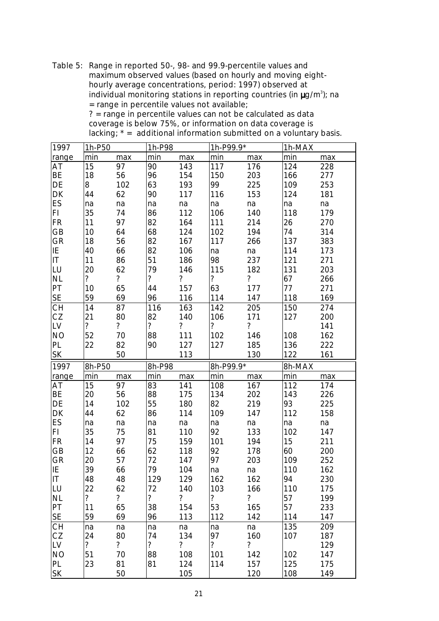Table 5: Range in reported 50-, 98- and 99.9-percentile values and maximum observed values (based on hourly and moving eighthourly average concentrations, period: 1997) observed at individual monitoring stations in reporting countries (in  $\mu$ g/m<sup>3</sup>); na = range in percentile values not available; ? = range in percentile values can not be calculated as data

| 1997      | 1h-P50                   |                          | 1h-P98         |                          | 1h-P99.9*                |                          | 1h-MAX     |            |
|-----------|--------------------------|--------------------------|----------------|--------------------------|--------------------------|--------------------------|------------|------------|
| range     | min                      | max                      | min            | max                      | min                      | max                      | min        | max        |
| AT        | 15                       | 97                       | 90             | 143                      | 117                      | 176                      | 124        | 228        |
| BE        | 18                       | 56                       | 96             | 154                      | 150                      | 203                      | 166        | 277        |
| DE        | 8                        | 102                      | 63             | 193                      | 99                       | 225                      | 109        | 253        |
| DK        | 44                       | 62                       | 90             | 117                      | 116                      | 153                      | 124        | 181        |
| ES        | na                       | na                       | na             | na                       | na                       | na                       | na         | na         |
| FI.       | 35                       | 74                       | 86             | 112                      | 106                      | 140                      | 118        | 179        |
| <b>FR</b> | 11                       | 97                       | 82             | 164                      | 111                      | 214                      | 26         | 270        |
| GB        | 10                       | 64                       | 68             | 124                      | 102                      | 194                      | 74         | 314        |
| <b>GR</b> | 18                       | 56                       | 82             | 167                      | 117                      | 266                      | 137        | 383        |
| ΙE        | 40                       | 66                       | 82             | 106                      | na                       | na                       | 114        | 173        |
| IT        | 11                       | 86                       | 51             | 186                      | 98                       | 237                      | 121        | 271        |
| LU        | 20                       | 62                       | 79             | 146                      | 115                      | 182                      | 131        | 203        |
| <b>NL</b> | $\overline{?}$           | $\overline{?}$           | $\overline{?}$ | $\tilde{?}$              | $\overline{\mathcal{C}}$ | $\overline{?}$           | 67         | 266        |
| PT        | 10                       | 65                       | 44             | 157                      | 63                       | 177                      | 77         | 271        |
| <b>SE</b> | 59                       | 69                       | 96             | 116                      | 114                      | 147                      | 118        | 169        |
| СH        | 14                       | 87                       | 116            | 163                      | 142                      | 205                      | 150        | 274        |
| CZ        | 21                       | 80                       | 82             | 140                      | 106                      | 171                      | 127        | 200        |
| LV        | $\overline{?}$           | $\overline{?}$           | $\overline{?}$ | $\overline{\phantom{a}}$ | $\overline{\phantom{a}}$ | $\tilde{?}$              |            | 141        |
| <b>NO</b> | 52                       | 70                       | 88             | 111                      | 102                      | 146                      | 108        | 162        |
| PL        | 22                       | 82                       | 90             | 127                      | 127                      | 185                      | 136        | 222        |
| SK        |                          | 50                       |                | 113                      |                          | 130                      | 122        | 161        |
|           |                          |                          |                |                          |                          |                          |            |            |
|           |                          |                          |                |                          |                          |                          |            |            |
| 1997      | 8h-P50                   |                          | 8h-P98         |                          | 8h-P99.9*                |                          | 8h-MAX     |            |
| range     | min                      | max                      | min            | max                      | min                      | max                      | min        | max        |
| AT        | 15                       | 97                       | 83             | 141                      | 108                      | 167                      | 112        | 174        |
| BE        | 20                       | 56                       | 88             | 175                      | 134                      | 202                      | 143        | 226        |
| DE        | 14                       | 102                      | 55             | 180                      | 82                       | 219                      | 93         | 225        |
| DK        | 44                       | 62                       | 86             | 114                      | 109                      | 147                      | 112        | 158        |
| ES        | na                       | na                       | na             | na                       | na                       | na                       | na         | na         |
| FI.       | 35                       | 75                       | 81             | 110                      | 92                       | 133                      | 102        | 147        |
| <b>FR</b> | 14                       | 97                       | 75             | 159                      | 101                      | 194                      | 15         | 211        |
| GB        | 12                       | 66                       | 62             | 118                      | 92                       | 178                      | 60         | 200        |
| <b>GR</b> | 20                       | 57                       | 72             | 147                      | 97                       | 203                      | 109        | 252        |
| IE        | 39                       | 66                       | 79             | 104                      | na                       | na                       | 110        | 162        |
| IT        | 48                       | 48                       | 129            | 129                      | 162                      | 162                      | 94         | 230        |
| LU        | 22                       | 62                       | 72             | 140                      | 103                      | 166                      | 110        | 175        |
| <b>NL</b> | ?                        | $\overline{?}$           | $\overline{?}$ | $\tilde{?}$              | ?                        | $\overline{\phantom{a}}$ | 57         | 199        |
| PT        | 11                       | 65                       | 38             | 154                      | 53                       | 165                      | 57         | 233        |
| <b>SE</b> | 59                       | 69                       | 96             | 113                      | 112                      | 142                      | 114        | 147        |
| <b>CH</b> | na                       | na                       | na             | na                       | na                       | na                       | 135        | 209        |
| CZ        | 24                       | 80                       | 74             | 134                      | 97                       | 160                      | 107        | 187        |
| LV        | $\overline{\mathcal{C}}$ | $\overline{\mathcal{C}}$ | $\overline{?}$ | $\tilde{?}$              | $\overline{\mathcal{C}}$ | $\tilde{?}$              |            | 129        |
| <b>NO</b> | 51                       | 70                       | 88             | 108                      | 101                      | 142                      | 102        | 147        |
| PL<br>SK  | 23                       | 81<br>50                 | 81             | 124<br>105               | 114                      | 157<br>120               | 125<br>108 | 175<br>149 |

coverage is below 75%, or information on data coverage is lacking;  $* =$  additional information submitted on a voluntary basis.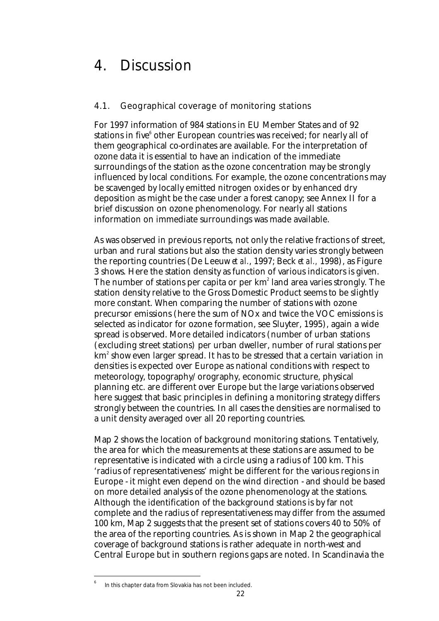# 4. Discussion

### 4.1. Geographical coverage of monitoring stations

For 1997 information of 984 stations in EU Member States and of 92 stations in five $^{\rm 6}$  other European countries was received; for nearly all of them geographical co-ordinates are available. For the interpretation of ozone data it is essential to have an indication of the immediate surroundings of the station as the ozone concentration may be strongly influenced by local conditions. For example, the ozone concentrations may be scavenged by locally emitted nitrogen oxides or by enhanced dry deposition as might be the case under a forest canopy; see Annex II for a brief discussion on ozone phenomenology. For nearly all stations information on immediate surroundings was made available.

As was observed in previous reports, not only the relative fractions of street, urban and rural stations but also the station density varies strongly between the reporting countries (De Leeuw *et al.*, 1997; Beck *et al.,* 1998), as Figure 3 shows. Here the station density as function of various indicators is given. The number of stations per capita or per  $\mathrm{km}^2$  land area varies strongly. The station density relative to the Gross Domestic Product seems to be slightly more constant. When comparing the number of stations with ozone precursor emissions (here the sum of NOx and twice the VOC emissions is selected as indicator for ozone formation, see Sluyter, 1995), again a wide spread is observed. More detailed indicators (number of urban stations (excluding street stations) per urban dweller, number of rural stations per km $^{\rm z}$  show even larger spread. It has to be stressed that a certain variation in densities is expected over Europe as national conditions with respect to meteorology, topography/orography, economic structure, physical planning etc. are different over Europe but the large variations observed here suggest that basic principles in defining a monitoring strategy differs strongly between the countries. In all cases the densities are normalised to a unit density averaged over all 20 reporting countries.

Map 2 shows the location of background monitoring stations. Tentatively, the area for which the measurements at these stations are assumed to be representative is indicated with a circle using a radius of 100 km. This 'radius of representativeness' might be different for the various regions in Europe - it might even depend on the wind direction - and should be based on more detailed analysis of the ozone phenomenology at the stations. Although the identification of the background stations is by far not complete and the radius of representativeness may differ from the assumed 100 km, Map 2 suggests that the present set of stations covers 40 to 50% of the area of the reporting countries. As is shown in Map 2 the geographical coverage of background stations is rather adequate in north-west and Central Europe but in southern regions gaps are noted. In Scandinavia the

<sup>6</sup> In this chapter data from Slovakia has not been included.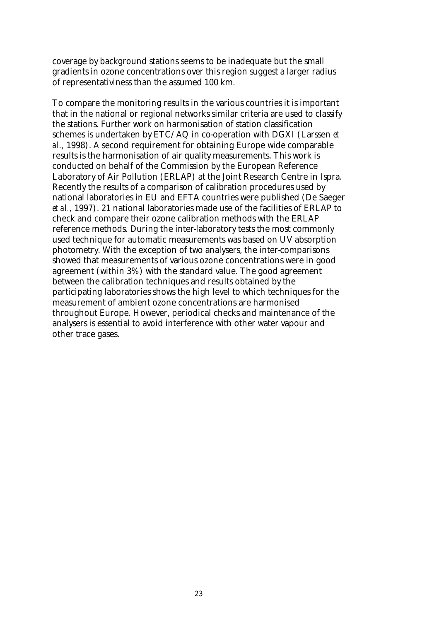coverage by background stations seems to be inadequate but the small gradients in ozone concentrations over this region suggest a larger radius of representativiness than the assumed 100 km.

To compare the monitoring results in the various countries it is important that in the national or regional networks similar criteria are used to classify the stations. Further work on harmonisation of station classification schemes is undertaken by ETC/AQ in co-operation with DGXI (Larssen *et al.,* 1998). A second requirement for obtaining Europe wide comparable results is the harmonisation of air quality measurements. This work is conducted on behalf of the Commission by the European Reference Laboratory of Air Pollution (ERLAP) at the Joint Research Centre in Ispra. Recently the results of a comparison of calibration procedures used by national laboratories in EU and EFTA countries were published (De Saeger *et al.,* 1997). 21 national laboratories made use of the facilities of ERLAP to check and compare their ozone calibration methods with the ERLAP reference methods. During the inter-laboratory tests the most commonly used technique for automatic measurements was based on UV absorption photometry. With the exception of two analysers, the inter-comparisons showed that measurements of various ozone concentrations were in good agreement (within 3%) with the standard value. The good agreement between the calibration techniques and results obtained by the participating laboratories shows the high level to which techniques for the measurement of ambient ozone concentrations are harmonised throughout Europe. However, periodical checks and maintenance of the analysers is essential to avoid interference with other water vapour and other trace gases.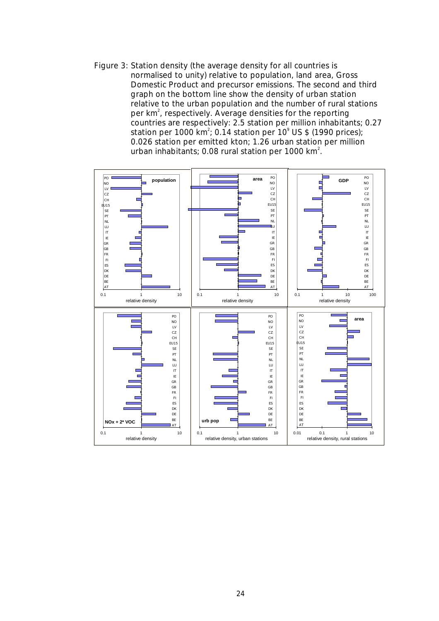Figure 3: Station density (the average density for all countries is normalised to unity) relative to population, land area, Gross Domestic Product and precursor emissions. The second and third graph on the bottom line show the density of urban station relative to the urban population and the number of rural stations per  $km^2$ , respectively. Average densities for the reporting countries are respectively: 2.5 station per million inhabitants; 0.27 station per 1000 km<sup>2</sup>; 0.14 station per 10<sup>°</sup> US \$ (1990 prices); 0.026 station per emitted kton; 1.26 urban station per million urban inhabitants; 0.08 rural station per 1000 km $^2\!$ .

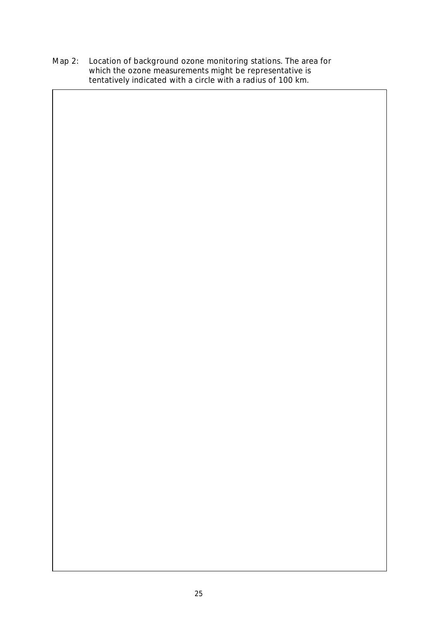Map 2: Location of background ozone monitoring stations. The area for which the ozone measurements might be representative is tentatively indicated with a circle with a radius of 100 km.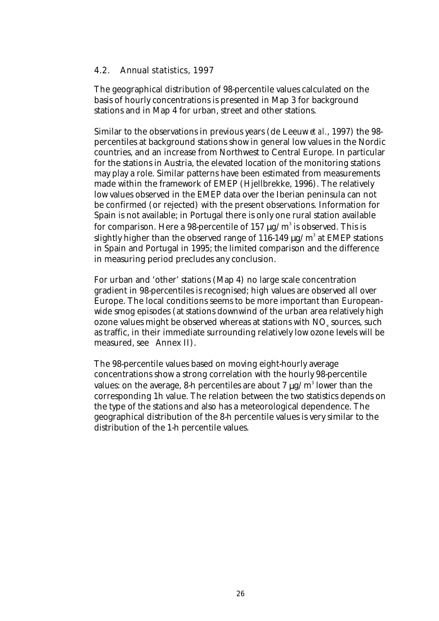#### 4.2. Annual statistics, 1997

The geographical distribution of 98-percentile values calculated on the basis of hourly concentrations is presented in Map 3 for background stations and in Map 4 for urban, street and other stations.

Similar to the observations in previous years (de Leeuw *et al.*, 1997) the 98 percentiles at background stations show in general low values in the Nordic countries, and an increase from Northwest to Central Europe. In particular for the stations in Austria, the elevated location of the monitoring stations may play a role. Similar patterns have been estimated from measurements made within the framework of EMEP (Hjellbrekke, 1996). The relatively low values observed in the EMEP data over the Iberian peninsula can not be confirmed (or rejected) with the present observations. Information for Spain is not available; in Portugal there is only one rural station available for comparison. Here a 98-percentile of 157  $\mu$ g/m $^3$  is observed. This is slightly higher than the observed range of 116-149  $\mu$ g/m $^{\rm 3}$  at EMEP stations in Spain and Portugal in 1995; the limited comparison and the difference in measuring period precludes any conclusion.

For urban and 'other' stations (Map 4) no large scale concentration gradient in 98-percentiles is recognised; high values are observed all over Europe. The local conditions seems to be more important than Europeanwide smog episodes (at stations downwind of the urban area relatively high ozone values might be observed whereas at stations with  $\mathrm{NO}_{_\mathrm{x}}$  sources, such as traffic, in their immediate surrounding relatively low ozone levels will be measured, see Annex II).

The 98-percentile values based on moving eight-hourly average concentrations show a strong correlation with the hourly 98-percentile values: on the average, 8-h percentiles are about 7  $\mu$ g/m<sup>3</sup> lower than the corresponding 1h value. The relation between the two statistics depends on the type of the stations and also has a meteorological dependence. The geographical distribution of the 8-h percentile values is very similar to the distribution of the 1-h percentile values.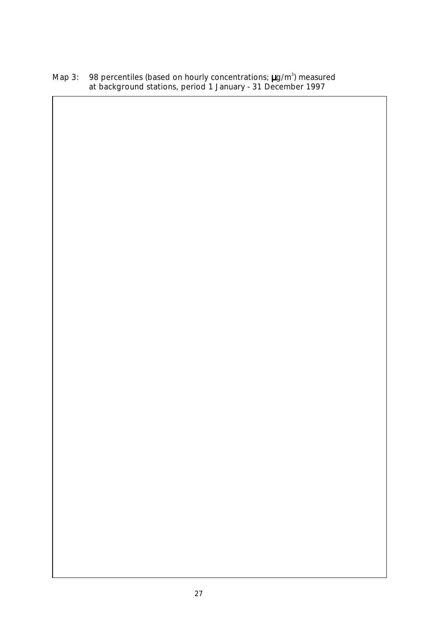Map 3: 98 percentiles (based on hourly concentrations;  $\mu$ g/m<sup>3</sup>) measured at background stations, period 1 January - 31 December 1997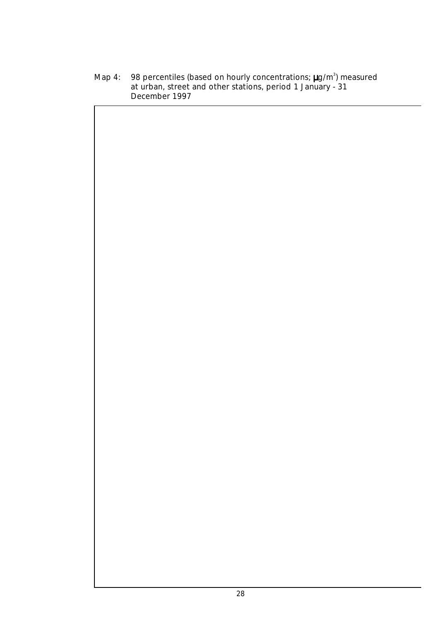Map 4: 98 percentiles (based on hourly concentrations;  $\mu$ g/m<sup>3</sup>) measured at urban, street and other stations, period 1 January - 31 December 1997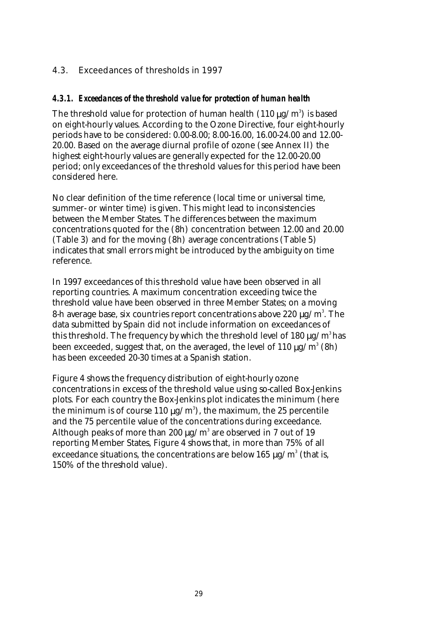### 4.3. Exceedances of thresholds in 1997

### *4.3.1. Exceedances of the threshold value for protection of human health*

The threshold value for protection of human health  $(110\,\mu\text{g}/\text{m}^3)$  is based on eight-hourly values. According to the Ozone Directive, four eight-hourly periods have to be considered: 0.00-8.00; 8.00-16.00, 16.00-24.00 and 12.00- 20.00. Based on the average diurnal profile of ozone (see Annex II) the highest eight-hourly values are generally expected for the 12.00-20.00 period; only exceedances of the threshold values for this period have been considered here.

No clear definition of the time reference (local time or universal time, summer- or winter time) is given. This might lead to inconsistencies between the Member States. The differences between the maximum concentrations quoted for the (8h) concentration between 12.00 and 20.00 (Table 3) and for the moving (8h) average concentrations (Table 5) indicates that small errors might be introduced by the ambiguity on time reference.

In 1997 exceedances of this threshold value have been observed in all reporting countries. A maximum concentration exceeding twice the threshold value have been observed in three Member States; on a moving 8-h average base, six countries report concentrations above 220  $\mu$ g/m $^3$ . The data submitted by Spain did not include information on exceedances of this threshold. The frequency by which the threshold level of 180  $\mu$ g/m<sup>3</sup> has been exceeded, suggest that, on the averaged, the level of 110  $\mu$ g/m $^3$  (8h) has been exceeded 20-30 times at a Spanish station.

Figure 4 shows the frequency distribution of eight-hourly ozone concentrations in excess of the threshold value using so-called Box-Jenkins plots. For each country the Box-Jenkins plot indicates the minimum (here the minimum is of course 110  $\mu$ g/m $^3$ ), the maximum, the 25 percentile and the 75 percentile value of the concentrations during exceedance. Although peaks of more than 200  $\mu$ g/m $^3$  are observed in 7 out of 19 reporting Member States, Figure 4 shows that, in more than 75% of all exceedance situations, the concentrations are below 165  $\mu\text{g/m}^3$  (that is, 150% of the threshold value).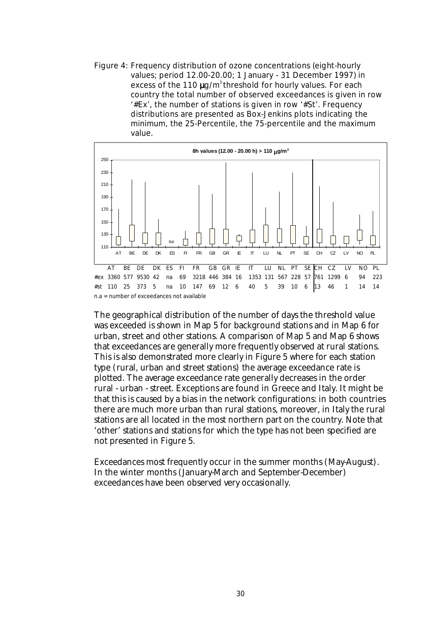Figure 4: Frequency distribution of ozone concentrations (eight-hourly values; period 12.00-20.00; 1 January - 31 December 1997) in excess of the 110  $\mu$ g/m<sup>3</sup> threshold for hourly values. For each country the total number of observed exceedances is given in row '#Ex', the number of stations is given in row '#St'. Frequency distributions are presented as Box-Jenkins plots indicating the minimum, the 25-Percentile, the 75-percentile and the maximum value.



The geographical distribution of the number of days the threshold value was exceeded is shown in Map 5 for background stations and in Map 6 for urban, street and other stations. A comparison of Map 5 and Map 6 shows that exceedances are generally more frequently observed at rural stations. This is also demonstrated more clearly in Figure 5 where for each station type (rural, urban and street stations) the average exceedance rate is plotted. The average exceedance rate generally decreases in the order rural - urban - street. Exceptions are found in Greece and Italy. It might be that this is caused by a bias in the network configurations: in both countries there are much more urban than rural stations, moreover, in Italy the rural stations are all located in the most northern part on the country. Note that 'other' stations and stations for which the type has not been specified are not presented in Figure 5.

Exceedances most frequently occur in the summer months (May-August). In the winter months (January-March and September-December) exceedances have been observed very occasionally.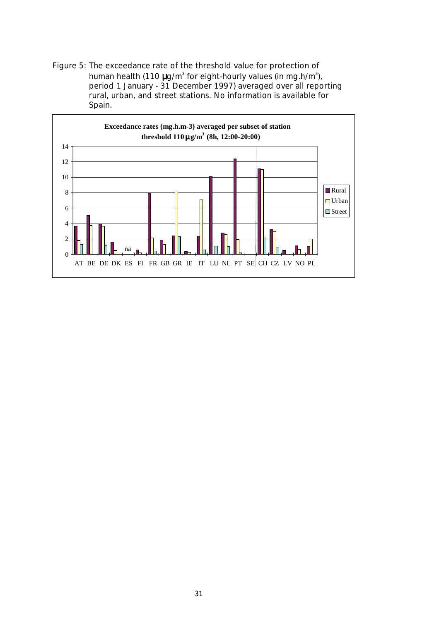Figure 5: The exceedance rate of the threshold value for protection of human health (110  $\mu$ g/m<sup>3</sup> for eight-hourly values (in mg.h/m<sup>3</sup>), period 1 January - 31 December 1997) averaged over all reporting rural, urban, and street stations. No information is available for Spain.

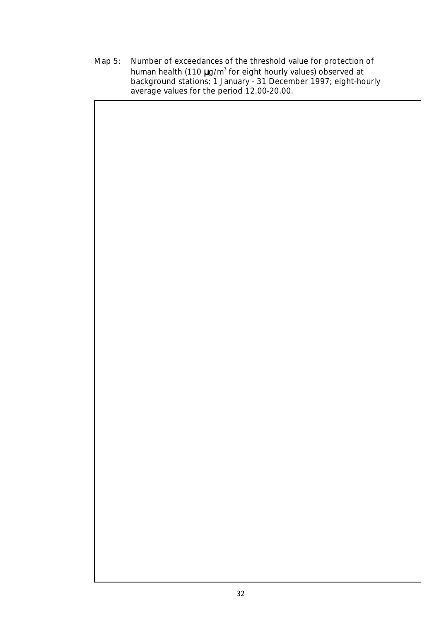Map 5: Number of exceedances of the threshold value for protection of human health (110  $\mu$ g/m<sup>3</sup> for eight hourly values) observed at background stations; 1 January - 31 December 1997; eight-hourly average values for the period 12.00-20.00.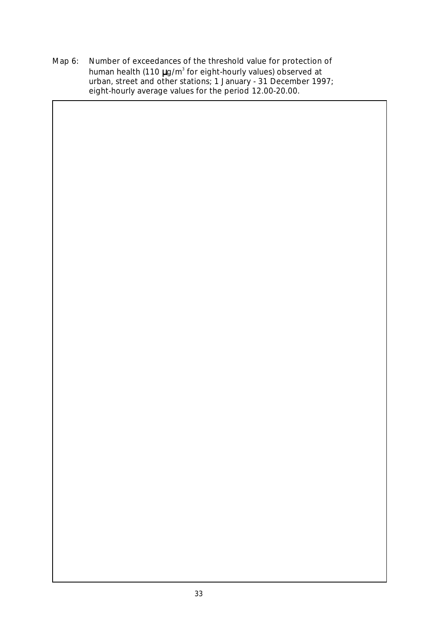Map 6: Number of exceedances of the threshold value for protection of human health (110  $\mu$ g/m<sup>3</sup> for eight-hourly values) observed at urban, street and other stations; 1 January - 31 December 1997; eight-hourly average values for the period 12.00-20.00.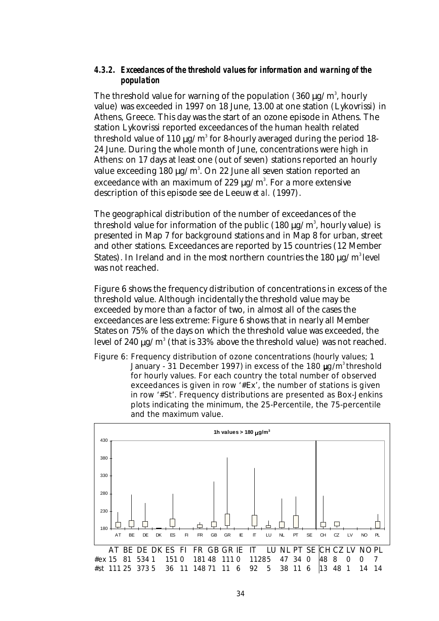#### *4.3.2. Exceedances of the threshold values for information and warning of the population*

The threshold value for warning of the population (360  $\mu$ g/m $^3$ , hourly value) was exceeded in 1997 on 18 June, 13.00 at one station (Lykovrissi) in Athens, Greece. This day was the start of an ozone episode in Athens. The station Lykovrissi reported exceedances of the human health related threshold value of 110  $\mu$ g/m $^3$  for 8-hourly averaged during the period 18-24 June. During the whole month of June, concentrations were high in Athens: on 17 days at least one (out of seven) stations reported an hourly value exceeding 180  $\mu$ g/m $^3$ . On 22 June all seven station reported an exceedance with an maximum of 229  $\mu$ g/m $^3$ . For a more extensive description of this episode see de Leeuw *et al.* (1997).

The geographical distribution of the number of exceedances of the threshold value for information of the public (180  $\mu$ g/m $^3$ , hourly value) is presented in Map 7 for background stations and in Map 8 for urban, street and other stations. Exceedances are reported by 15 countries (12 Member States). In Ireland and in the most northern countries the 180  $\mu$ g/m<sup>3</sup> level was not reached.

Figure 6 shows the frequency distribution of concentrations in excess of the threshold value. Although incidentally the threshold value may be exceeded by more than a factor of two, in almost all of the cases the exceedances are less extreme: Figure 6 shows that in nearly all Member States on 75% of the days on which the threshold value was exceeded, the level of 240  $\mu$ g/m $^3$  (that is 33% above the threshold value) was not reached.

Figure 6: Frequency distribution of ozone concentrations (hourly values; 1 January - 31 December 1997) in excess of the 180  $\mu$ g/m<sup>3</sup> threshold for hourly values. For each country the total number of observed exceedances is given in row '#Ex', the number of stations is given in row '#St'. Frequency distributions are presented as Box-Jenkins plots indicating the minimum, the 25-Percentile, the 75-percentile and the maximum value.

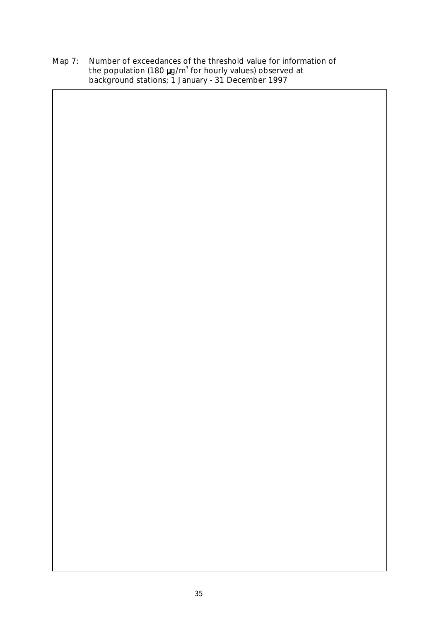Map 7: Number of exceedances of the threshold value for information of the population (180  $\mu$ g/m<sup>3</sup> for hourly values) observed at background stations; 1 January - 31 December 1997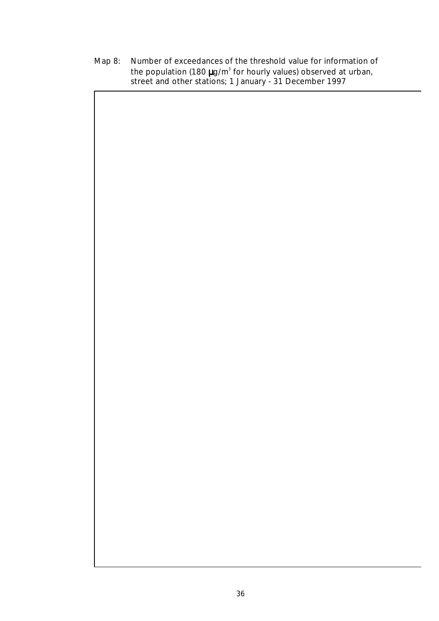Map 8: Number of exceedances of the threshold value for information of the population (180  $\mu$ g/m<sup>3</sup> for hourly values) observed at urban, street and other stations; 1 January - 31 December 1997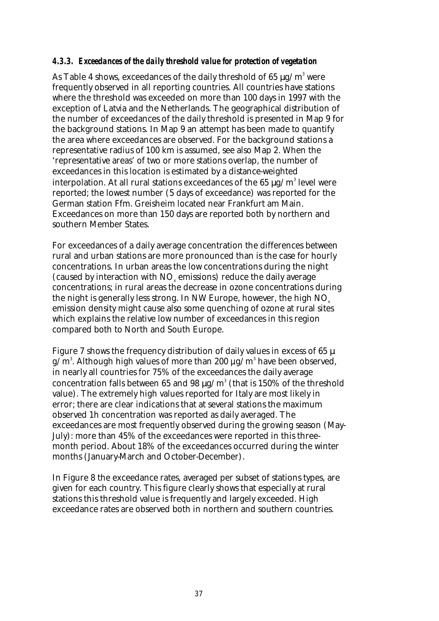#### *4.3.3. Exceedances of the daily threshold value for protection of vegetation*

As Table 4 shows, exceedances of the daily threshold of 65  $\mu$ g/m $^3$  were frequently observed in all reporting countries. All countries have stations where the threshold was exceeded on more than 100 days in 1997 with the exception of Latvia and the Netherlands. The geographical distribution of the number of exceedances of the daily threshold is presented in Map 9 for the background stations. In Map 9 an attempt has been made to quantify the area where exceedances are observed. For the background stations a representative radius of 100 km is assumed, see also Map 2. When the 'representative areas' of two or more stations overlap, the number of exceedances in this location is estimated by a distance-weighted interpolation. At all rural stations exceedances of the 65  $\mu$ g/m $^3$  level were reported; the lowest number (5 days of exceedance) was reported for the German station Ffm. Greisheim located near Frankfurt am Main. Exceedances on more than 150 days are reported both by northern and southern Member States.

For exceedances of a daily average concentration the differences between rural and urban stations are more pronounced than is the case for hourly concentrations. In urban areas the low concentrations during the night (caused by interaction with  $NO<sub>x</sub>$  emissions) reduce the daily average concentrations; in rural areas the decrease in ozone concentrations during the night is generally less strong. In NW Europe, however, the high NO<sub>x</sub> emission density might cause also some quenching of ozone at rural sites which explains the relative low number of exceedances in this region compared both to North and South Europe.

Figure 7 shows the frequency distribution of daily values in excess of 65  $\mu$ g/m $\mathrm{s}$ . Although high values of more than 200  $\mu$ g/m $^{\mathrm{s}}$  have been observed, in nearly all countries for 75% of the exceedances the daily average concentration falls between 65 and 98  $\mu$ g/m $^3$  (that is 150% of the threshold value). The extremely high values reported for Italy are most likely in error; there are clear indications that at several stations the maximum observed 1h concentration was reported as daily averaged. The exceedances are most frequently observed during the growing season (May-July): more than 45% of the exceedances were reported in this threemonth period. About 18% of the exceedances occurred during the winter months (January-March and October-December).

In Figure 8 the exceedance rates, averaged per subset of stations types, are given for each country. This figure clearly shows that especially at rural stations this threshold value is frequently and largely exceeded. High exceedance rates are observed both in northern and southern countries.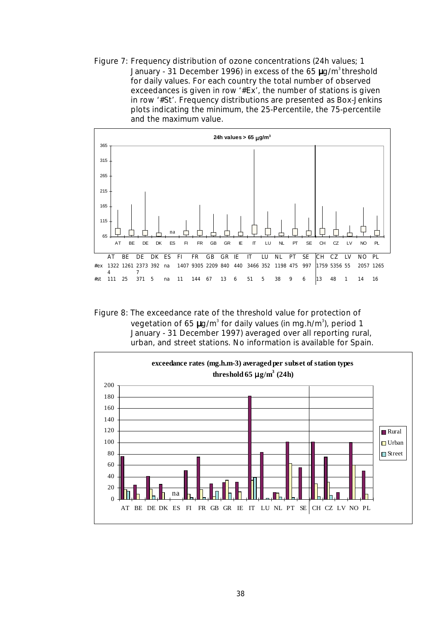Figure 7: Frequency distribution of ozone concentrations (24h values; 1 January - 31 December 1996) in excess of the 65  $\mu$ g/m<sup>3</sup> threshold for daily values. For each country the total number of observed exceedances is given in row '#Ex', the number of stations is given in row '#St'. Frequency distributions are presented as Box-Jenkins plots indicating the minimum, the 25-Percentile, the 75-percentile and the maximum value.



Figure 8: The exceedance rate of the threshold value for protection of vegetation of 65  $\mu$ g/m $^3$  for daily values (in mg.h/m $^3$ ), period 1 January - 31 December 1997) averaged over all reporting rural, urban, and street stations. No information is available for Spain.

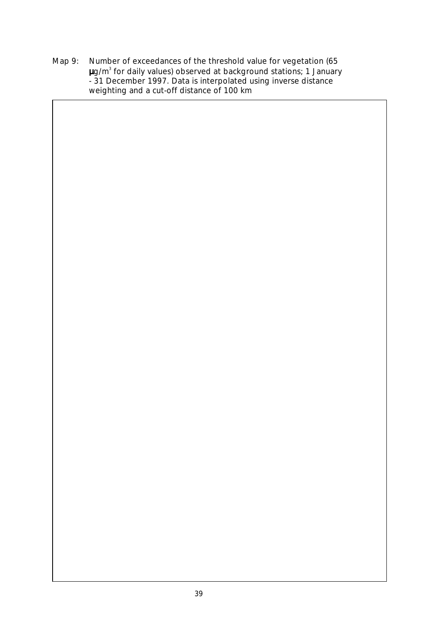Map 9: Number of exceedances of the threshold value for vegetation (65  $\mu$ g/m $^3$  for daily values) observed at background stations; 1 January - 31 December 1997. Data is interpolated using inverse distance weighting and a cut-off distance of 100 km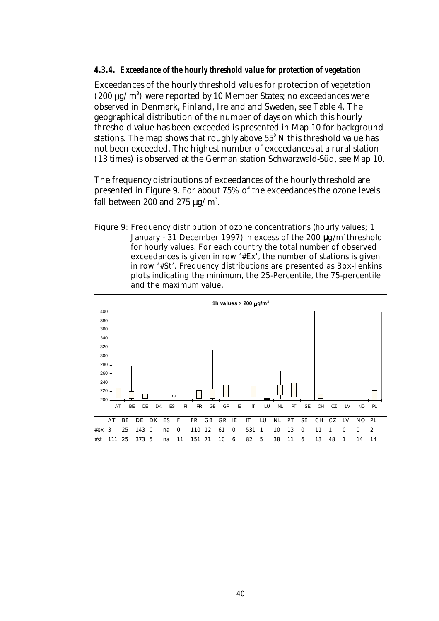#### *4.3.4. Exceedance of the hourly threshold value for protection of vegetation*

Exceedances of the hourly threshold values for protection of vegetation (200  $\mu$ g/m<sup>3</sup>) were reported by 10 Member States; no exceedances were observed in Denmark, Finland, Ireland and Sweden, see Table 4. The geographical distribution of the number of days on which this hourly threshold value has been exceeded is presented in Map 10 for background stations. The map shows that roughly above  $55^{\circ}$  N this threshold value has not been exceeded. The highest number of exceedances at a rural station (13 times) is observed at the German station Schwarzwald-Süd, see Map 10.

The frequency distributions of exceedances of the hourly threshold are presented in Figure 9. For about 75% of the exceedances the ozone levels fall between 200 and 275  $\mu\text{g}/\text{m}^3$ .

Figure 9: Frequency distribution of ozone concentrations (hourly values; 1 January - 31 December 1997) in excess of the 200  $\mu$ g/m<sup>3</sup> threshold for hourly values. For each country the total number of observed exceedances is given in row '#Ex', the number of stations is given in row '#St'. Frequency distributions are presented as Box-Jenkins plots indicating the minimum, the 25-Percentile, the 75-percentile and the maximum value.

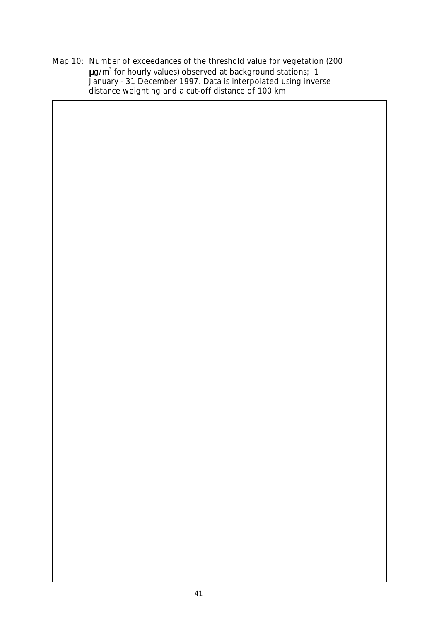Map 10: Number of exceedances of the threshold value for vegetation (200  $\mu$ g/m $^3$  for hourly values) observed at background stations; 1 January - 31 December 1997. Data is interpolated using inverse distance weighting and a cut-off distance of 100 km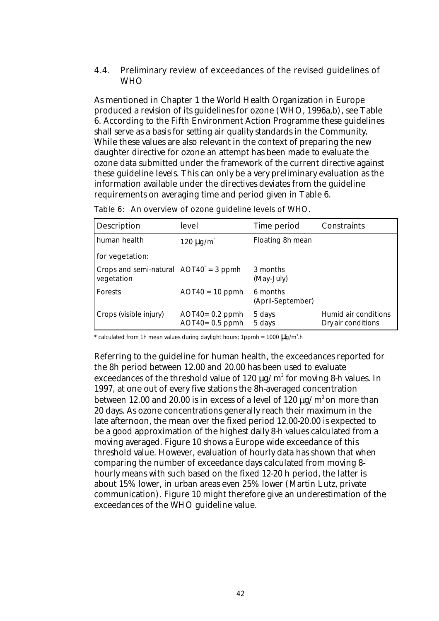4.4. Preliminary review of exceedances of the revised guidelines of **WHO** 

As mentioned in Chapter 1 the World Health Organization in Europe produced a revision of its guidelines for ozone (WHO, 1996a,b), see Table 6. According to the Fifth Environment Action Programme these guidelines shall serve as a basis for setting air quality standards in the Community. While these values are also relevant in the context of preparing the new daughter directive for ozone an attempt has been made to evaluate the ozone data submitted under the framework of the current directive against these guideline levels. This can only be a very preliminary evaluation as the information available under the directives deviates from the guideline requirements on averaging time and period given in Table 6.

| <b>Description</b>                                              | level                                    | Time period                   | Constraints                                |
|-----------------------------------------------------------------|------------------------------------------|-------------------------------|--------------------------------------------|
| human health                                                    | 120 $\mu$ g/m <sup>3</sup>               | Floating 8h mean              |                                            |
| for vegetation:                                                 |                                          |                               |                                            |
| Crops and semi-natural $AOT40^{\dagger} = 3$ ppmh<br>vegetation |                                          | 3 months<br>(May-July)        |                                            |
| Forests                                                         | $AOT40 = 10$ ppmh                        | 6 months<br>(April-September) |                                            |
| Crops (visible injury)                                          | $AOT40 = 0.2$ ppmh<br>$AOT40 = 0.5$ ppmh | 5 days<br>5 days              | Humid air conditions<br>Dry air conditions |

Table 6: An overview of ozone guideline levels of WHO.

\* calculated from 1h mean values during daylight hours; 1ppmh =  $1000 \text{ }\mu_{\text{g}}/\text{m}^3$ .h

Referring to the guideline for human health, the exceedances reported for the 8h period between 12.00 and 20.00 has been used to evaluate exceedances of the threshold value of 120  $\mu$ g/m $^3$  for moving 8-h values. In 1997, at one out of every five stations the 8h-averaged concentration between 12.00 and 20.00 is in excess of a level of 120  $\mu$ g/m<sup>3</sup> on more than 20 days. As ozone concentrations generally reach their maximum in the late afternoon, the mean over the fixed period 12.00-20.00 is expected to be a good approximation of the highest daily 8-h values calculated from a moving averaged. Figure 10 shows a Europe wide exceedance of this threshold value. However, evaluation of hourly data has shown that when comparing the number of exceedance days calculated from moving 8 hourly means with such based on the fixed 12-20 h period, the latter is about 15% lower, in urban areas even 25% lower (Martin Lutz, private communication). Figure 10 might therefore give an underestimation of the exceedances of the WHO guideline value.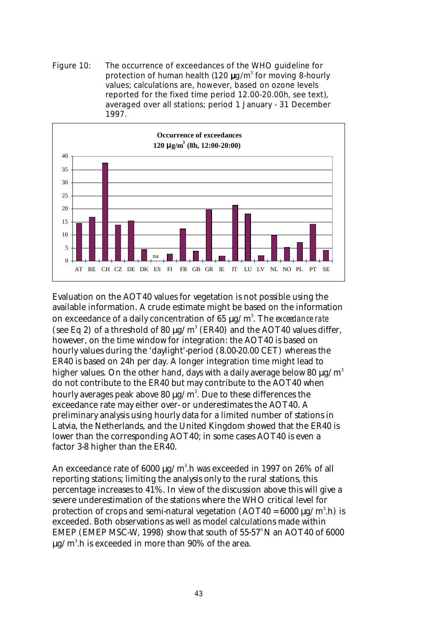Figure 10: The occurrence of exceedances of the WHO guideline for protection of human health (120  $\mu$ g/m<sup>3</sup> for moving 8-hourly values; calculations are, however, based on ozone levels reported for the fixed time period 12.00-20.00h, see text), averaged over all stations; period 1 January - 31 December 1997.



Evaluation on the AOT40 values for vegetation is not possible using the available information. A crude estimate might be based on the information on exceedance of a daily concentration of 65  $\mu$ g/m $^3$ . The *exceedance rate* (see Eq 2) of a threshold of 80  $\mu$ g/m<sup>3</sup> (ER40) and the AOT40 values differ, however, on the time window for integration: the AOT40 is based on hourly values during the 'daylight'-period (8.00-20.00 CET) whereas the ER40 is based on 24h per day. A longer integration time might lead to higher values. On the other hand, days with a daily average below 80  $\mu$ g/m<sup>3</sup> do not contribute to the ER40 but may contribute to the AOT40 when hourly averages peak above 80 µg/m $^{\rm 3}$ . Due to these differences the exceedance rate may either over- or underestimates the AOT40. A preliminary analysis using hourly data for a limited number of stations in Latvia, the Netherlands, and the United Kingdom showed that the ER40 is lower than the corresponding AOT40; in some cases AOT40 is even a factor 3-8 higher than the ER40.

An exceedance rate of  $6000\ \mu\text{g/m}^3\text{.}$ h was exceeded in 1997 on 26% of all reporting stations; limiting the analysis only to the rural stations, this percentage increases to 41%. In view of the discussion above this will give a severe underestimation of the stations where the WHO critical level for protection of crops and semi-natural vegetation (AOT40 = 6000  $\mu$ g/m $^3$ .h) is exceeded. Both observations as well as model calculations made within EMEP (EMEP MSC-W, 1998) show that south of  $55-57^\circ$ N an AOT40 of 6000  $\mu$ g/m $^3$ .h is exceeded in more than 90% of the area.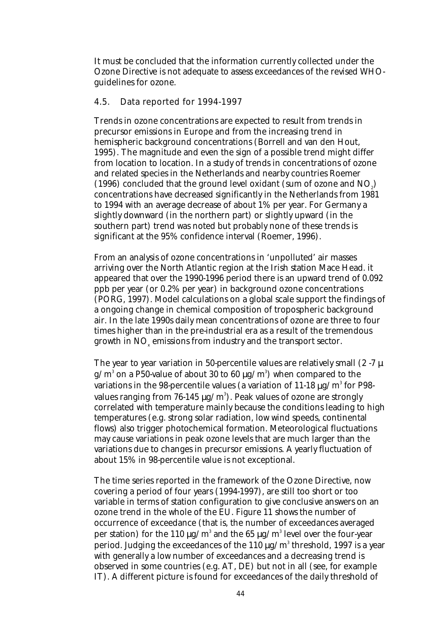It must be concluded that the information currently collected under the Ozone Directive is not adequate to assess exceedances of the revised WHOguidelines for ozone.

### 4.5. Data reported for 1994-1997

Trends in ozone concentrations are expected to result from trends in precursor emissions in Europe and from the increasing trend in hemispheric background concentrations (Borrell and van den Hout, 1995). The magnitude and even the sign of a possible trend might differ from location to location. In a study of trends in concentrations of ozone and related species in the Netherlands and nearby countries Roemer (1996) concluded that the ground level oxidant (sum of ozone and  $NO<sub>2</sub>$ ) concentrations have decreased significantly in the Netherlands from 1981 to 1994 with an average decrease of about 1% per year. For Germany a slightly downward (in the northern part) or slightly upward (in the southern part) trend was noted but probably none of these trends is significant at the 95% confidence interval (Roemer, 1996).

From an analysis of ozone concentrations in 'unpolluted' air masses arriving over the North Atlantic region at the Irish station Mace Head. it appeared that over the 1990-1996 period there is an upward trend of 0.092 ppb per year (or 0.2% per year) in background ozone concentrations (PORG, 1997). Model calculations on a global scale support the findings of a ongoing change in chemical composition of tropospheric background air. In the late 1990s daily mean concentrations of ozone are three to four times higher than in the pre-industrial era as a result of the tremendous growth in  $\mathrm{NO}_\mathrm{x}$  emissions from industry and the transport sector.

The year to year variation in 50-percentile values are relatively small  $(2 - 7 \mu)$ g/m $^{\rm 3}$  on a P50-value of about 30 to 60  $\mu$ g/m $^{\rm 3)}$  when compared to the variations in the 98-percentile values (a variation of 11-18  $\mu$ g/m $^3$  for P98values ranging from 76-145  $\mu{\rm g}/{\rm m}^3$ ). Peak values of ozone are strongly correlated with temperature mainly because the conditions leading to high temperatures (e.g. strong solar radiation, low wind speeds, continental flows) also trigger photochemical formation. Meteorological fluctuations may cause variations in peak ozone levels that are much larger than the variations due to changes in precursor emissions. A yearly fluctuation of about 15% in 98-percentile value is not exceptional.

The time series reported in the framework of the Ozone Directive, now covering a period of four years (1994-1997), are still too short or too variable in terms of station configuration to give conclusive answers on an ozone trend in the whole of the EU. Figure 11 shows the number of occurrence of exceedance (that is, the number of exceedances averaged per station) for the 110  $\mu$ g/m $^3$  and the 65  $\mu$ g/m $^3$  level over the four-year period. Judging the exceedances of the 110  $\mu$ g/m $^3$  threshold, 1997 is a year with generally a low number of exceedances and a decreasing trend is observed in some countries (e.g. AT, DE) but not in all (see, for example IT). A different picture is found for exceedances of the daily threshold of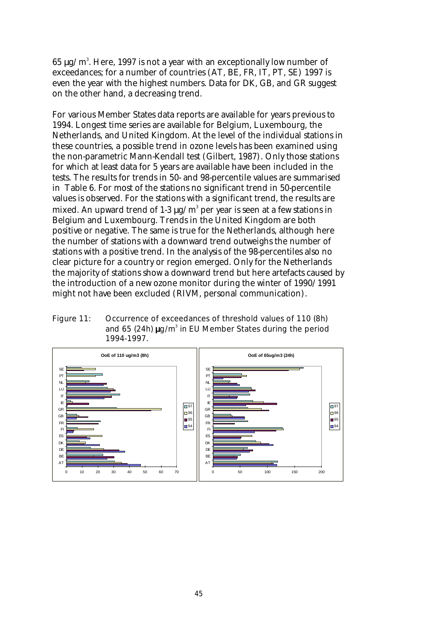$65~\rm{\mu g/m^3}.$  Here, 1997 is not a year with an exceptionally low number of exceedances; for a number of countries (AT, BE, FR, IT, PT, SE) 1997 is even the year with the highest numbers. Data for DK, GB, and GR suggest on the other hand, a decreasing trend.

For various Member States data reports are available for years previous to 1994. Longest time series are available for Belgium, Luxembourg, the Netherlands, and United Kingdom. At the level of the individual stations in these countries, a possible trend in ozone levels has been examined using the non-parametric Mann-Kendall test (Gilbert, 1987). Only those stations for which at least data for 5 years are available have been included in the tests. The results for trends in 50- and 98-percentile values are summarised in Table 6. For most of the stations no significant trend in 50-percentile values is observed. For the stations with a significant trend, the results are mixed. An upward trend of 1-3  $\mu\text{g/m}^3$  per year is seen at a few stations in Belgium and Luxembourg. Trends in the United Kingdom are both positive or negative. The same is true for the Netherlands, although here the number of stations with a downward trend outweighs the number of stations with a positive trend. In the analysis of the 98-percentiles also no clear picture for a country or region emerged. Only for the Netherlands the majority of stations show a downward trend but here artefacts caused by the introduction of a new ozone monitor during the winter of 1990/1991 might not have been excluded (RIVM, personal communication).

Figure 11: Occurrence of exceedances of threshold values of 110 (8h) and 65 (24h)  $\mu$ g/m<sup>3</sup> in EU Member States during the period 1994-1997.

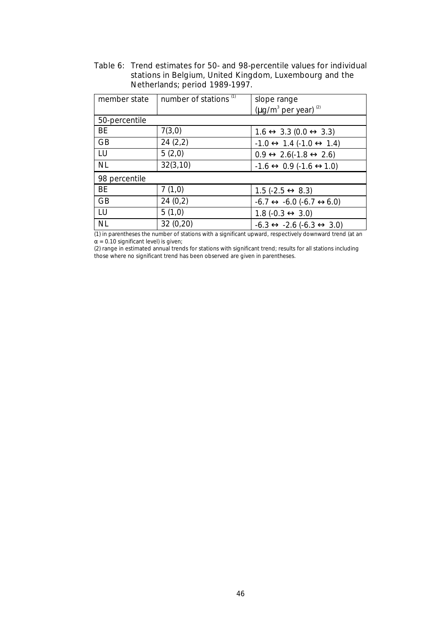| member state  | number of stations <sup>(1)</sup> | slope range                                              |
|---------------|-----------------------------------|----------------------------------------------------------|
|               |                                   | $(\mu g/m^3$ per year) (2)                               |
| 50-percentile |                                   |                                                          |
| <b>BE</b>     | 7(3,0)                            | $1.6 \leftrightarrow 3.3$ (0.0 $\leftrightarrow$ 3.3)    |
| <b>GB</b>     | 24(2,2)                           | $-1.0 \leftrightarrow 1.4 (-1.0 \leftrightarrow 1.4)$    |
| LU            | 5(2,0)                            | $0.9 \leftrightarrow 2.6(-1.8 \leftrightarrow 2.6)$      |
| <b>NL</b>     | 32(3,10)                          | $-1.6 \leftrightarrow 0.9 (-1.6 \leftrightarrow 1.0)$    |
| 98 percentile |                                   |                                                          |
| <b>BE</b>     | 7(1,0)                            | $1.5$ (-2.5 $\leftrightarrow$ 8.3)                       |
| <b>GB</b>     | 24(0,2)                           | $-6.7 \leftrightarrow -6.0$ $(-6.7 \leftrightarrow 6.0)$ |
| LU            | 5(1,0)                            | $1.8 (-0.3 \leftrightarrow 3.0)$                         |
| <b>NL</b>     | 32(0,20)                          | $-6.3 \leftrightarrow -2.6 (-6.3 \leftrightarrow 3.0)$   |

Table 6: Trend estimates for 50- and 98-percentile values for individual stations in Belgium, United Kingdom, Luxembourg and the Netherlands; period 1989-1997.

(1) in parentheses the number of stations with a significant upward, respectively downward trend (at an  $\alpha$  = 0.10 significant level) is given;

(2) range in estimated annual trends for stations with significant trend; results for all stations including those where no significant trend has been observed are given in parentheses.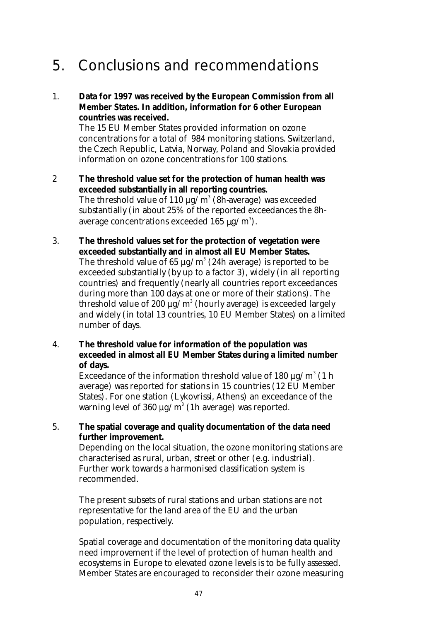# 5. Conclusions and recommendations

1. **Data for 1997 was received by the European Commission from all Member States. In addition, information for 6 other European countries was received.**

The 15 EU Member States provided information on ozone concentrations for a total of 984 monitoring stations. Switzerland, the Czech Republic, Latvia, Norway, Poland and Slovakia provided information on ozone concentrations for 100 stations.

- 2 **The threshold value set for the protection of human health was exceeded substantially in all reporting countries.** The threshold value of 110  $\mu$ g/m $^3$  (8h-average) was exceeded substantially (in about 25% of the reported exceedances the 8haverage concentrations exceeded 165  $\mu\text{g}/\text{m}^3$ ).
- 3. **The threshold values set for the protection of vegetation were exceeded substantially and in almost all EU Member States.** The threshold value of 65  $\mu{\rm g}/{\rm m}^3$  (24h average) is reported to be exceeded substantially (by up to a factor 3), widely (in all reporting countries) and frequently (nearly all countries report exceedances during more than 100 days at one or more of their stations). The threshold value of 200  $\mu$ g/m $^3$  (hourly average) is exceeded largely and widely (in total 13 countries, 10 EU Member States) on a limited number of days.
- 4. **The threshold value for information of the population was exceeded in almost all EU Member States during a limited number of days.**

Exceedance of the information threshold value of 180  $\mu$ g/m $^3$  (1 h average) was reported for stations in 15 countries (12 EU Member States). For one station (Lykovrissi, Athens) an exceedance of the warning level of 360  $\mu$ g/m $^3$  (1h average) was reported.

#### 5. **The spatial coverage and quality documentation of the data need further improvement.**

Depending on the local situation, the ozone monitoring stations are characterised as rural, urban, street or other (e.g. industrial). Further work towards a harmonised classification system is recommended.

The present subsets of rural stations and urban stations are not representative for the land area of the EU and the urban population, respectively.

Spatial coverage and documentation of the monitoring data quality need improvement if the level of protection of human health and ecosystems in Europe to elevated ozone levels is to be fully assessed. Member States are encouraged to reconsider their ozone measuring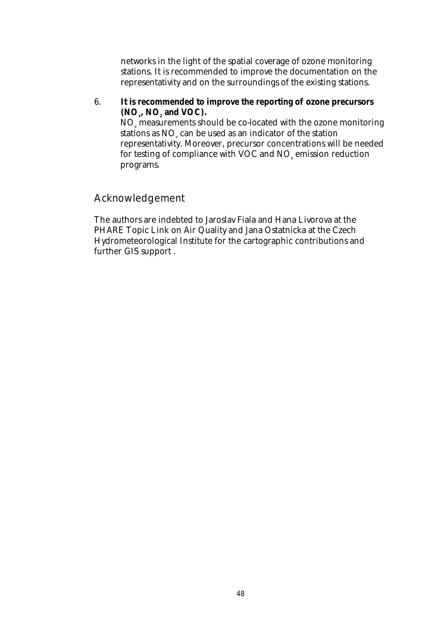networks in the light of the spatial coverage of ozone monitoring stations. It is recommended to improve the documentation on the representativity and on the surroundings of the existing stations.

6. **It is recommended to improve the reporting of ozone precursors**  $(NO_x, NO_z \text{ and } VOC).$  $\mathrm{NO}_{\mathrm{x}}$  measurements should be co-located with the ozone monitoring stations as  $\mathrm{NO}_{\mathrm{x}}$  can be used as an indicator of the station representativity. Moreover, precursor concentrations will be needed for testing of compliance with VOC and NO $_{\tiny \rm x}$  emission reduction programs.

## Acknowledgement

The authors are indebted to Jaroslav Fiala and Hana Livorova at the PHARE Topic Link on Air Quality and Jana Ostatnicka at the Czech Hydrometeorological Institute for the cartographic contributions and further GIS support .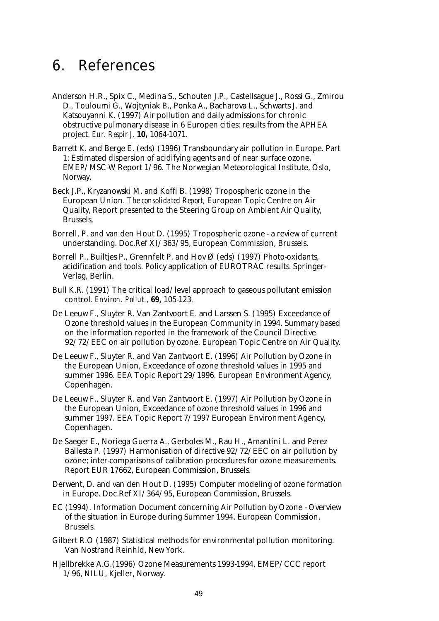## 6. References

- Anderson H.R., Spix C., Medina S., Schouten J.P., Castellsague J., Rossi G., Zmirou D., Touloumi G., Wojtyniak B., Ponka A., Bacharova L., Schwarts J. and Katsouyanni K. (1997) Air pollution and daily admissions for chronic obstructive pulmonary disease in 6 Europen cities: results from the APHEA project. *Eur. Respir J.* **10,** 1064-1071.
- Barrett K. and Berge E. (eds) (1996) Transboundary air pollution in Europe. Part 1: Estimated dispersion of acidifying agents and of near surface ozone. EMEP/MSC-W Report 1/96. The Norwegian Meteorological Institute, Oslo, Norway.
- Beck J.P., Kryzanowski M. and Koffi B. (1998) Tropospheric ozone in the European Union*. The consolidated Report,* European Topic Centre on Air Quality, Report presented to the Steering Group on Ambient Air Quality, Brussels,
- Borrell, P. and van den Hout D. (1995) Tropospheric ozone a review of current understanding. Doc.Ref XI/363/95, European Commission, Brussels.
- Borrell P., Builtjes P., Grennfelt P. and Hov Ø (eds) (1997) Photo-oxidants, acidification and tools. Policy application of EUROTRAC results. Springer-Verlag, Berlin.
- Bull K.R. (1991) The critical load/level approach to gaseous pollutant emission control. *Environ. Pollut.,* **69,** 105-123*.*
- De Leeuw F., Sluyter R. Van Zantvoort E. and Larssen S. (1995) Exceedance of Ozone threshold values in the European Community in 1994. Summary based on the information reported in the framework of the Council Directive 92/72/EEC on air pollution by ozone. European Topic Centre on Air Quality.
- De Leeuw F., Sluyter R. and Van Zantvoort E. (1996) Air Pollution by Ozone in the European Union, Exceedance of ozone threshold values in 1995 and summer 1996. EEA Topic Report 29/1996. European Environment Agency, Copenhagen.
- De Leeuw F., Sluyter R. and Van Zantvoort E. (1997) Air Pollution by Ozone in the European Union, Exceedance of ozone threshold values in 1996 and summer 1997. EEA Topic Report 7/1997 European Environment Agency, Copenhagen.
- De Saeger E., Noriega Guerra A., Gerboles M., Rau H., Amantini L. and Perez Ballesta P. (1997) Harmonisation of directive 92/72/EEC on air pollution by ozone; inter-comparisons of calibration procedures for ozone measurements. Report EUR 17662, European Commission, Brussels.
- Derwent, D. and van den Hout D. (1995) Computer modeling of ozone formation in Europe. Doc.Ref XI/364/95, European Commission, Brussels.
- EC (1994). Information Document concerning Air Pollution by Ozone Overview of the situation in Europe during Summer 1994. European Commission, Brussels.
- Gilbert R.O (1987) Statistical methods for environmental pollution monitoring. Van Nostrand Reinhld, New York.
- Hjellbrekke A.G.(1996) Ozone Measurements 1993-1994, EMEP/CCC report 1/96, NILU, Kjeller, Norway.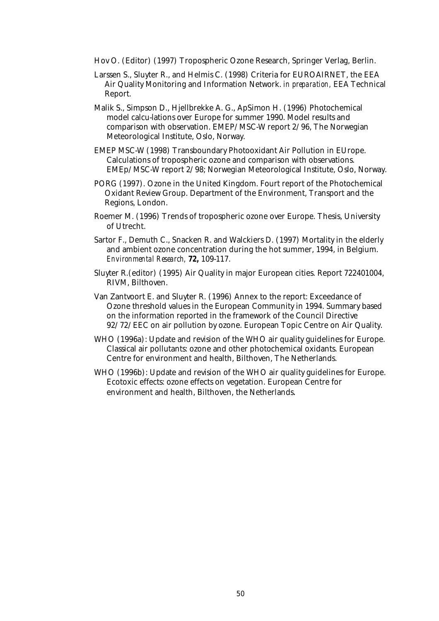- Hov O. (Editor) (1997) Tropospheric Ozone Research, Springer Verlag, Berlin.
- Larssen S., Sluyter R., and Helmis C. (1998) Criteria for EUROAIRNET, the EEA Air Quality Monitoring and Information Network. *in preparation,* EEA Technical Report.
- Malik S., Simpson D., Hjellbrekke A. G., ApSimon H. (1996) Photochemical model calcu-lations over Europe for summer 1990. Model results and comparison with observation. EMEP/MSC-W report 2/96, The Norwegian Meteorological Institute, Oslo, Norway.
- EMEP MSC-W (1998) Transboundary Photooxidant Air Pollution in EUrope. Calculations of tropospheric ozone and comparison with observations. EMEp/MSC-W report 2/98; Norwegian Meteorological Institute, Oslo, Norway.
- PORG (1997). Ozone in the United Kingdom. Fourt report of the Photochemical Oxidant Review Group. Department of the Environment, Transport and the Regions, London.
- Roemer M. (1996) Trends of tropospheric ozone over Europe. Thesis, University of Utrecht.
- Sartor F., Demuth C., Snacken R. and Walckiers D. (1997) Mortality in the elderly and ambient ozone concentration during the hot summer, 1994, in Belgium. *Environmental Research,* **72,** 109-117.
- Sluyter R.(editor) (1995) Air Quality in major European cities. Report 722401004, RIVM, Bilthoven.
- Van Zantvoort E. and Sluyter R. (1996) Annex to the report: Exceedance of Ozone threshold values in the European Community in 1994. Summary based on the information reported in the framework of the Council Directive 92/72/EEC on air pollution by ozone. European Topic Centre on Air Quality.
- WHO (1996a): Update and revision of the WHO air quality guidelines for Europe. Classical air pollutants: ozone and other photochemical oxidants. European Centre for environment and health, Bilthoven, The Netherlands.
- WHO (1996b): Update and revision of the WHO air quality guidelines for Europe. Ecotoxic effects: ozone effects on vegetation. European Centre for environment and health, Bilthoven, the Netherlands.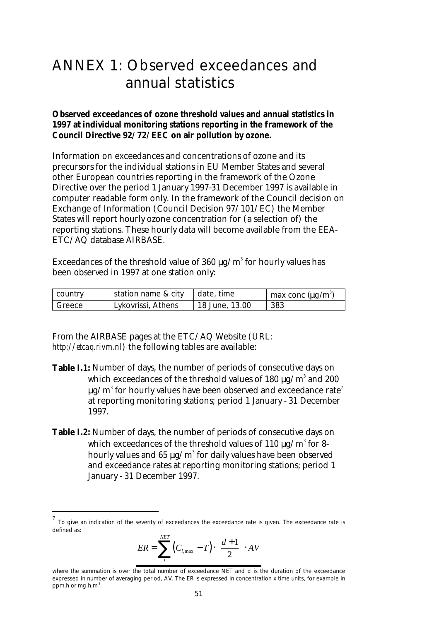# ANNEX 1: Observed exceedances and annual statistics

#### **Observed exceedances of ozone threshold values and annual statistics in 1997 at individual monitoring stations reporting in the framework of the Council Directive 92/72/EEC on air pollution by ozone.**

Information on exceedances and concentrations of ozone and its precursors for the individual stations in EU Member States and several other European countries reporting in the framework of the Ozone Directive over the period 1 January 1997-31 December 1997 is available in computer readable form only. In the framework of the Council decision on Exchange of Information (Council Decision 97/101/EC) the Member States will report hourly ozone concentration for (a selection of) the reporting stations. These hourly data will become available from the EEA-ETC/AQ database AIRBASE.

Exceedances of the threshold value of 360  $\mu$ g/m $^3$  for hourly values has been observed in 1997 at one station only:

| country | station name & city | ∣ date, time   | $\mu$ max conc ( $\mu$ g/m <sup>31</sup> ) |
|---------|---------------------|----------------|--------------------------------------------|
| Greece  | Lykovrissi, Athens  | 18 June, 13.00 | 383                                        |

From the AIRBASE pages at the ETC/AQ Website (URL: *http://etcaq.rivm.nl*) the following tables are available:

 $\overline{a}$ 

- **Table I.1:** Number of days, the number of periods of consecutive days on which exceedances of the threshold values of 180  $\mu$ g/m $^3$  and 200  $^2$  $\mu$ g/m $^3$  for hourly values have been observed and exceedance rate $^7$ at reporting monitoring stations; period 1 January - 31 December 1997.
- **Table I.2:** Number of days, the number of periods of consecutive days on which exceedances of the threshold values of 110  $\mu$ g/m $^3$  for 8hourly values and 65  $\mu$ g/m $^3$  for daily values have been observed and exceedance rates at reporting monitoring stations; period 1 January - 31 December 1997.

$$
ER = \sum_{i}^{NET} (C_{i, \max} - T) \cdot \left(\frac{d+1}{2}\right) \cdot AV
$$

<sup>7</sup> To give an indication of the severity of exceedances the *exceedance rate* is given. The *exceedance rate* is defined as:

where the summation is over the total number of exceedance *NET* and *d* is the duration of the exceedance expressed in number of averaging period, *AV*. The ER is expressed in *concentration x time* units, for example in *ppm.h* or *mg.h.m-3 .*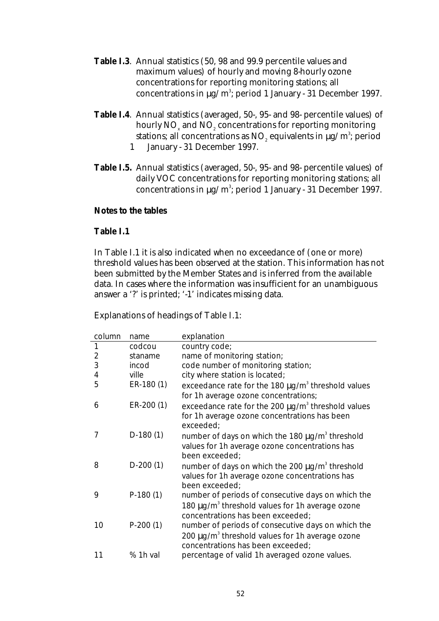- **Table I.3**. Annual statistics (50, 98 and 99.9 percentile values and maximum values) of hourly and moving 8-hourly ozone concentrations for reporting monitoring stations; all concentrations in  $\mu$ g/m<sup>3</sup>; period 1 January - 31 December 1997.
- **Table I.4**. Annual statistics (averaged, 50-, 95- and 98- percentile values) of hourly  $\rm NO_{_{x}}$  and  $\rm NO_{_{2}}$  concentrations for reporting monitoring stations; all concentrations as  $\mathrm{NO}_i$  equivalents in  $\mu \mathrm{g/m^3}$ ; period 1 January - 31 December 1997.
- **Table I.5.** Annual statistics (averaged, 50-, 95- and 98- percentile values) of daily VOC concentrations for reporting monitoring stations; all concentrations in  $\mu$ g/m<sup>3</sup>; period 1 January - 31 December 1997.

#### **Notes to the tables**

#### **Table I.1**

In Table I.1 it is also indicated when no exceedance of (one or more) threshold values has been observed at the station. This information has not been submitted by the Member States and is inferred from the available data. In cases where the information was insufficient for an unambiguous answer a '?' is printed; '-1' indicates missing data.

#### Explanations of headings of Table I.1:

| column         | name       | explanation                                                         |
|----------------|------------|---------------------------------------------------------------------|
| 1              | codcou     | country code;                                                       |
| $\overline{2}$ | staname    | name of monitoring station;                                         |
| 3              | incod      | code number of monitoring station;                                  |
| 4              | ville      | city where station is located;                                      |
| 5              | ER-180 (1) | exceedance rate for the 180 $\mu$ g/m <sup>3</sup> threshold values |
|                |            | for 1h average ozone concentrations;                                |
| 6              | ER-200 (1) | exceedance rate for the 200 $\mu$ g/m <sup>3</sup> threshold values |
|                |            | for 1h average ozone concentrations has been                        |
|                |            | exceeded;                                                           |
| 7              | $D-180(1)$ | number of days on which the 180 $\mu$ g/m <sup>3</sup> threshold    |
|                |            | values for 1h average ozone concentrations has                      |
|                |            | been exceeded:                                                      |
| 8              | $D-200(1)$ | number of days on which the 200 $\mu$ g/m <sup>3</sup> threshold    |
|                |            | values for 1h average ozone concentrations has                      |
|                |            | been exceeded;                                                      |
| 9              | $P-180(1)$ | number of periods of consecutive days on which the                  |
|                |            | 180 $\mu$ g/m <sup>3</sup> threshold values for 1h average ozone    |
|                |            | concentrations has been exceeded;                                   |
| 10             | $P-200(1)$ | number of periods of consecutive days on which the                  |
|                |            | 200 $\mu$ g/m <sup>3</sup> threshold values for 1h average ozone    |
|                |            | concentrations has been exceeded;                                   |
| 11             | % 1h val   | percentage of valid 1h averaged ozone values.                       |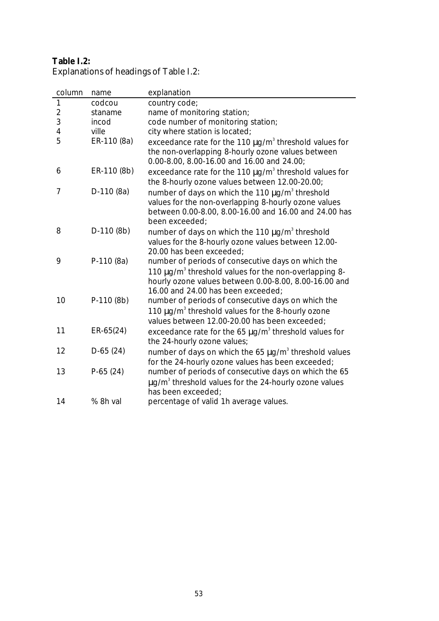### **Table I.2:** Explanations of headings of Table I.2:

| column         | name        | explanation                                                                                                                                                                                                            |
|----------------|-------------|------------------------------------------------------------------------------------------------------------------------------------------------------------------------------------------------------------------------|
| $\mathbf{1}$   | codcou      | country code;                                                                                                                                                                                                          |
| $\overline{2}$ | staname     | name of monitoring station;                                                                                                                                                                                            |
| 3              | incod       | code number of monitoring station;                                                                                                                                                                                     |
| 4              | ville       | city where station is located;                                                                                                                                                                                         |
| 5              | ER-110 (8a) | exceedance rate for the 110 $\mu$ g/m <sup>3</sup> threshold values for<br>the non-overlapping 8-hourly ozone values between<br>0.00-8.00, 8.00-16.00 and 16.00 and 24.00;                                             |
| 6              | ER-110 (8b) | exceedance rate for the 110 $\mu$ g/m <sup>3</sup> threshold values for<br>the 8-hourly ozone values between 12.00-20.00;                                                                                              |
| 7              | $D-110(8a)$ | number of days on which the 110 $\mu$ g/m <sup>3</sup> threshold<br>values for the non-overlapping 8-hourly ozone values<br>between 0.00-8.00, 8.00-16.00 and 16.00 and 24.00 has<br>been exceeded:                    |
| 8              | $D-110(8b)$ | number of days on which the 110 $\mu$ g/m <sup>3</sup> threshold<br>values for the 8-hourly ozone values between 12.00-<br>20.00 has been exceeded:                                                                    |
| 9              | P-110 (8a)  | number of periods of consecutive days on which the<br>110 µg/m <sup>3</sup> threshold values for the non-overlapping 8-<br>hourly ozone values between 0.00-8.00, 8.00-16.00 and<br>16.00 and 24.00 has been exceeded; |
| 10             | $P-110(8b)$ | number of periods of consecutive days on which the<br>110 $\mu$ g/m <sup>3</sup> threshold values for the 8-hourly ozone<br>values between 12.00-20.00 has been exceeded;                                              |
| 11             | $ER-65(24)$ | exceedance rate for the 65 $\mu$ g/m <sup>3</sup> threshold values for<br>the 24-hourly ozone values;                                                                                                                  |
| 12             | $D-65(24)$  | number of days on which the 65 $\mu$ g/m <sup>3</sup> threshold values<br>for the 24-hourly ozone values has been exceeded;                                                                                            |
| 13             | $P-65(24)$  | number of periods of consecutive days on which the 65<br>$\mu$ g/m <sup>3</sup> threshold values for the 24-hourly ozone values<br>has been exceeded:                                                                  |
| 14             | % 8h val    | percentage of valid 1h average values.                                                                                                                                                                                 |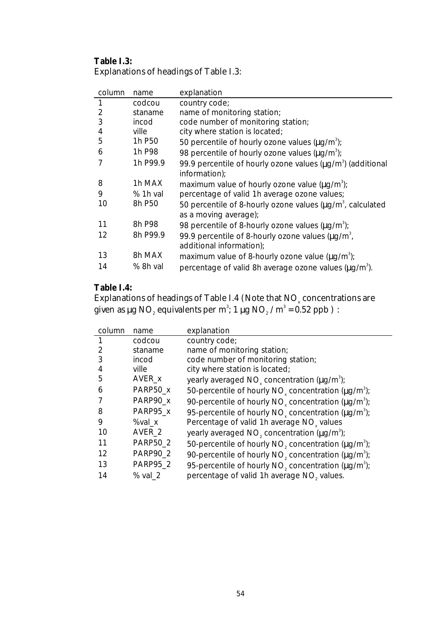### **Table I.3:** Explanations of headings of Table I.3:

| column | name               | explanation                                                                                |
|--------|--------------------|--------------------------------------------------------------------------------------------|
|        | codcou             | country code;                                                                              |
| 2      | staname            | name of monitoring station;                                                                |
| 3      | incod              | code number of monitoring station;                                                         |
| 4      | ville              | city where station is located;                                                             |
| 5      | 1h P <sub>50</sub> | 50 percentile of hourly ozone values $(\mu q/m^3)$ ;                                       |
| 6      | 1h P98             | 98 percentile of hourly ozone values $(\mu q/m^3)$ ;                                       |
|        | 1h P99.9           | 99.9 percentile of hourly ozone values $(\mu q/m^3)$ (additional<br>information);          |
| 8      | 1h MAX             | maximum value of hourly ozone value $(\mu q/m^3)$ ;                                        |
| 9      | % 1h val           | percentage of valid 1h average ozone values;                                               |
| 10     | 8h P50             | 50 percentile of 8-hourly ozone values $(\mu q/m^3)$ , calculated<br>as a moving average); |
| 11     | 8h P98             | 98 percentile of 8-hourly ozone values $(\mu q/m^3)$ ;                                     |
| 12     | 8h P99.9           | 99.9 percentile of 8-hourly ozone values ( $\mu q/m^3$ ,<br>additional information);       |
| 13     | 8h MAX             | maximum value of 8-hourly ozone value $(\mu g/m^3)$ ;                                      |
| 14     | % 8h val           | percentage of valid 8h average ozone values $(\mu g/m^3)$ .                                |

### **Table I.4:**

Explanations of headings of Table I.4 (Note that  $\mathrm{NO}_{\mathrm{x}}$  concentrations are given as µg NO $_{\tiny 2}$  equivalents per m $\mathrm{^{3}}$ ; 1 µg NO $_{\tiny 2}$  /m $\mathrm{^{3}}$  = 0.52 ppb ) :

| column | name              | explanation                                                                       |
|--------|-------------------|-----------------------------------------------------------------------------------|
|        | codcou            | country code;                                                                     |
|        | staname           | name of monitoring station;                                                       |
| 3      | incod             | code number of monitoring station;                                                |
| 4      | ville             | city where station is located;                                                    |
| 5      | AVER_x            | yearly averaged $NOx$ concentration ( $\mu$ g/m <sup>3</sup> );                   |
| 6      | PARP50 x          | 50-percentile of hourly NO <sub>v</sub> concentration ( $\mu$ g/m <sup>3</sup> ); |
|        | PARP90_x          | 90-percentile of hourly NO <sub>v</sub> concentration ( $\mu q/m^3$ );            |
| 8      | PARP95 x          | 95-percentile of hourly NO <sub>v</sub> concentration $(\mu g/m^3)$ ;             |
| 9      | %val x            | Percentage of valid 1h average NO <sub>v</sub> values                             |
| 10     | AVER <sub>2</sub> | yearly averaged $NO$ , concentration ( $\mu$ g/m <sup>3</sup> );                  |
| 11     | <b>PARP50_2</b>   | 50-percentile of hourly NO <sub>2</sub> concentration (µg/m <sup>3</sup> );       |
| 12     | PARP90_2          | 90-percentile of hourly NO <sub>2</sub> concentration (µg/m <sup>3</sup> );       |
| 13     | <b>PARP95_2</b>   | 95-percentile of hourly NO <sub>2</sub> concentration ( $\mu q/m^3$ );            |
| 14     | $%$ val 2         | percentage of valid 1h average NO <sub>2</sub> values.                            |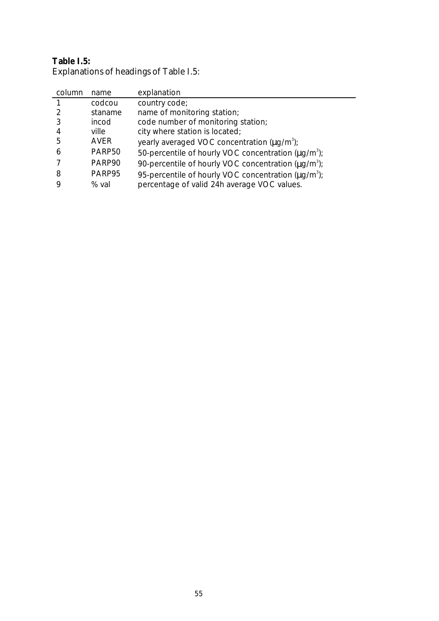### **Table I.5:** Explanations of headings of Table I.5:

| column | name        | explanation                                                     |
|--------|-------------|-----------------------------------------------------------------|
|        | codcou      | country code;                                                   |
|        | staname     | name of monitoring station;                                     |
|        | incod       | code number of monitoring station;                              |
| 4      | ville       | city where station is located;                                  |
| 5      | <b>AVER</b> | yearly averaged VOC concentration $(\mu q/m^3)$ ;               |
| 6      | PARP50      | 50-percentile of hourly VOC concentration (ug/m <sup>3</sup> ); |
|        | PARP90      | 90-percentile of hourly VOC concentration $(\mu q/m^3)$ ;       |
| 8      | PARP95      | 95-percentile of hourly VOC concentration $(\mu q/m^3)$ ;       |
| 9      | % val       | percentage of valid 24h average VOC values.                     |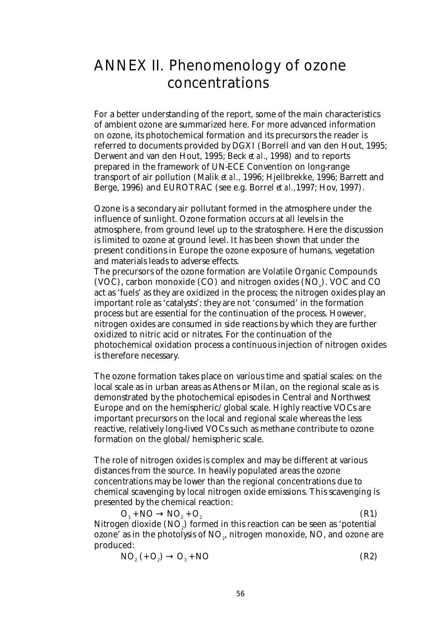# ANNEX II. Phenomenology of ozone concentrations

For a better understanding of the report, some of the main characteristics of ambient ozone are summarized here. For more advanced information on ozone, its photochemical formation and its precursors the reader is referred to documents provided by DGXI (Borrell and van den Hout, 1995; Derwent and van den Hout, 1995; Beck *et al*., 1998) and to reports prepared in the framework of UN-ECE Convention on long-range transport of air pollution (Malik *et al.,* 1996; Hjellbrekke, 1996; Barrett and Berge, 1996) and EUROTRAC (see e.g. Borrel *et al.,*1997; Hov, 1997).

Ozone is a secondary air pollutant formed in the atmosphere under the influence of sunlight. Ozone formation occurs at all levels in the atmosphere, from ground level up to the stratosphere. Here the discussion is limited to ozone at ground level. It has been shown that under the present conditions in Europe the ozone exposure of humans, vegetation and materials leads to adverse effects.

The precursors of the ozone formation are Volatile Organic Compounds (VOC), carbon monoxide  $(CO)$  and nitrogen oxides  $(NO_x)$ . VOC and CO act as 'fuels' as they are oxidized in the process; the nitrogen oxides play an important role as 'catalysts': they are not 'consumed' in the formation process but are essential for the continuation of the process. However, nitrogen oxides are consumed in side reactions by which they are further oxidized to nitric acid or nitrates. For the continuation of the photochemical oxidation process a continuous injection of nitrogen oxides is therefore necessary.

The ozone formation takes place on various time and spatial scales: on the local scale as in urban areas as Athens or Milan, on the regional scale as is demonstrated by the photochemical episodes in Central and Northwest Europe and on the hemispheric/global scale. Highly reactive VOCs are important precursors on the local and regional scale whereas the less reactive, relatively long-lived VOCs such as methane contribute to ozone formation on the global/hemispheric scale.

The role of nitrogen oxides is complex and may be different at various distances from the source. In heavily populated areas the ozone concentrations may be lower than the regional concentrations due to chemical scavenging by local nitrogen oxide emissions. This scavenging is presented by the chemical reaction:

 $O_3 + NO \rightarrow NO_2$  $+$  O<sub>2</sub> (R1) Nitrogen dioxide  $\mathrm{(NO}_2)$  formed in this reaction can be seen as 'potential ozone' as in the photolysis of  $\mathrm{NO}_z$ , nitrogen monoxide,  $\mathrm{NO}_z$  and ozone are produced:

$$
NO2 (+ O2) \rightarrow O3 + NO
$$
 (R2)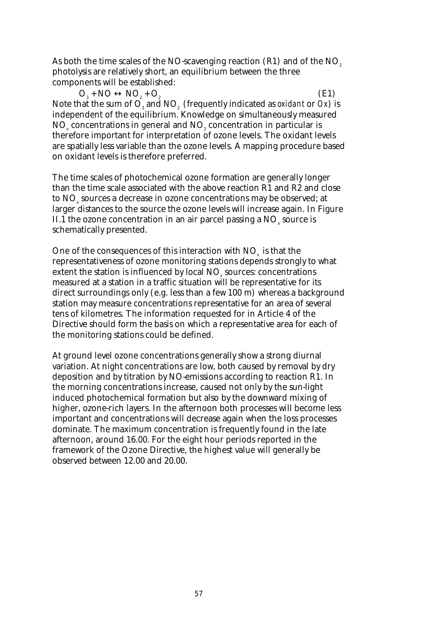As both the time scales of the NO-scavenging reaction  $(R1)$  and of the NO<sub>2</sub> photolysis are relatively short, an equilibrium between the three components will be established:

 $O_3 + NO \leftrightarrow NO_2$  $+$  O<sub>2</sub> (E1) Note that the sum of  $\mathrm{O}_{\scriptscriptstyle{3}}$  and  $\mathrm{NO}_{\scriptscriptstyle{2}}$  (frequently indicated as *oxidant* or *Ox*) is independent of the equilibrium. Knowledge on simultaneously measured  $\mathrm{NO}_{\mathrm{x}}$  concentrations in general and  $\mathrm{NO}_{\mathrm{z}}$  concentration in particular is therefore important for interpretation of ozone levels. The oxidant levels are spatially less variable than the ozone levels. A mapping procedure based on oxidant levels is therefore preferred.

The time scales of photochemical ozone formation are generally longer than the time scale associated with the above reaction R1 and R2 and close to  $\mathrm{NO}_\mathrm{x}$  sources a decrease in ozone concentrations may be observed; at larger distances to the source the ozone levels will increase again. In Figure II.1 the ozone concentration in an air parcel passing a  $\mathrm{NO}_{_\mathrm{x}}$  source is schematically presented.

One of the consequences of this interaction with  $NO<sub>x</sub>$  is that the representativeness of ozone monitoring stations depends strongly to what extent the station is influenced by local  $\mathrm{NO}_{\mathrm{x}}$  sources: concentrations measured at a station in a traffic situation will be representative for its direct surroundings only (e.g. less than a few 100 m) whereas a background station may measure concentrations representative for an area of several tens of kilometres. The information requested for in Article 4 of the Directive should form the basis on which a representative area for each of the monitoring stations could be defined.

At ground level ozone concentrations generally show a strong diurnal variation. At night concentrations are low, both caused by removal by dry deposition and by titration by NO-emissions according to reaction R1. In the morning concentrations increase, caused not only by the sun-light induced photochemical formation but also by the downward mixing of higher, ozone-rich layers. In the afternoon both processes will become less important and concentrations will decrease again when the loss processes dominate. The maximum concentration is frequently found in the late afternoon, around 16.00. For the eight hour periods reported in the framework of the Ozone Directive, the highest value will generally be observed between 12.00 and 20.00.